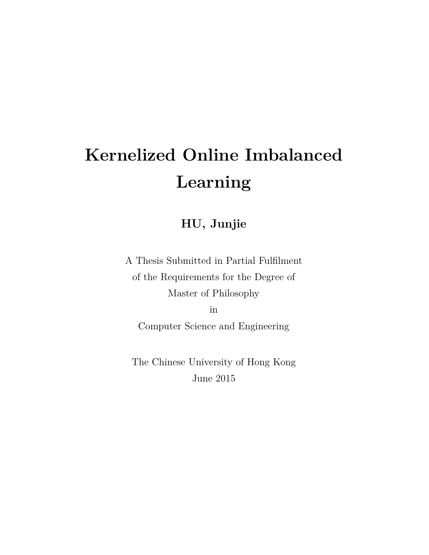# **Kernelized Online Imbalanced Learning**

## **HU, Junjie**

A Thesis Submitted in Partial Fulfilment of the Requirements for the Degree of Master of Philosophy

in

Computer Science and Engineering

The Chinese University of Hong Kong June 2015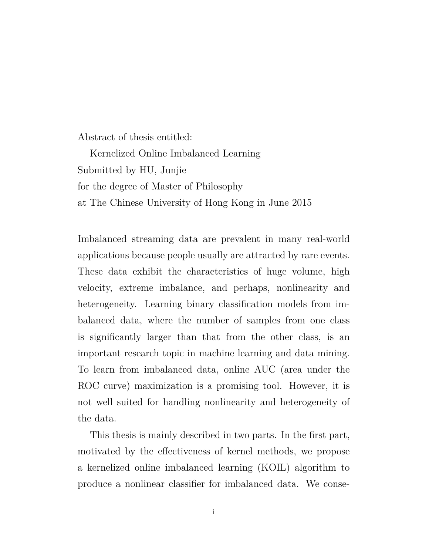Abstract of thesis entitled:

Kernelized Online Imbalanced Learning Submitted by HU, Junjie for the degree of Master of Philosophy at The Chinese University of Hong Kong in June 2015

Imbalanced streaming data are prevalent in many real-world applications because people usually are attracted by rare events. These data exhibit the characteristics of huge volume, high velocity, extreme imbalance, and perhaps, nonlinearity and heterogeneity. Learning binary classification models from imbalanced data, where the number of samples from one class is significantly larger than that from the other class, is an important research topic in machine learning and data mining. To learn from imbalanced data, online AUC (area under the ROC curve) maximization is a promising tool. However, it is not well suited for handling nonlinearity and heterogeneity of the data.

This thesis is mainly described in two parts. In the first part, motivated by the effectiveness of kernel methods, we propose a kernelized online imbalanced learning (KOIL) algorithm to produce a nonlinear classifier for imbalanced data. We conse-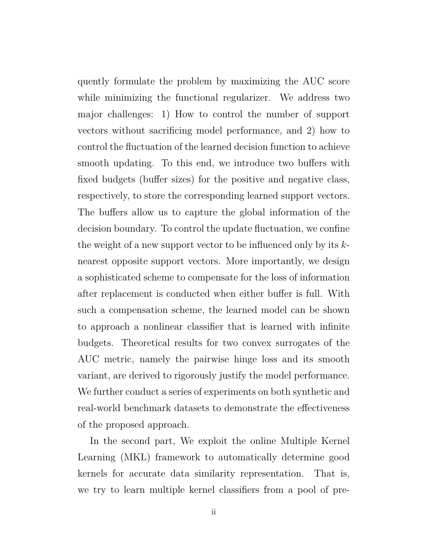quently formulate the problem by maximizing the AUC score while minimizing the functional regularizer. We address two major challenges: 1) How to control the number of support vectors without sacrificing model performance, and 2) how to control the fluctuation of the learned decision function to achieve smooth updating. To this end, we introduce two buffers with fixed budgets (buffer sizes) for the positive and negative class, respectively, to store the corresponding learned support vectors. The buffers allow us to capture the global information of the decision boundary. To control the update fluctuation, we confine the weight of a new support vector to be influenced only by its *k*nearest opposite support vectors. More importantly, we design a sophisticated scheme to compensate for the loss of information after replacement is conducted when either buffer is full. With such a compensation scheme, the learned model can be shown to approach a nonlinear classifier that is learned with infinite budgets. Theoretical results for two convex surrogates of the AUC metric, namely the pairwise hinge loss and its smooth variant, are derived to rigorously justify the model performance. We further conduct a series of experiments on both synthetic and real-world benchmark datasets to demonstrate the effectiveness of the proposed approach.

In the second part, We exploit the online Multiple Kernel Learning (MKL) framework to automatically determine good kernels for accurate data similarity representation. That is, we try to learn multiple kernel classifiers from a pool of pre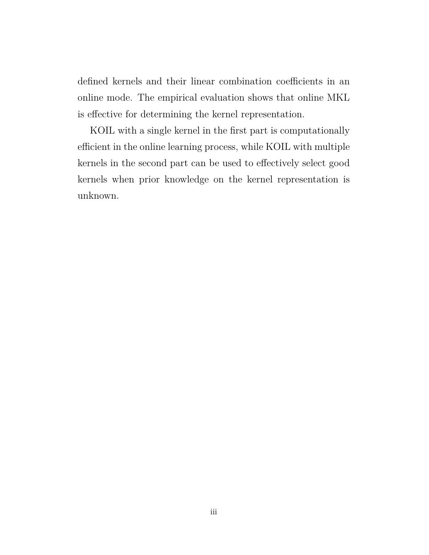defined kernels and their linear combination coefficients in an online mode. The empirical evaluation shows that online MKL is effective for determining the kernel representation.

KOIL with a single kernel in the first part is computationally efficient in the online learning process, while KOIL with multiple kernels in the second part can be used to effectively select good kernels when prior knowledge on the kernel representation is unknown.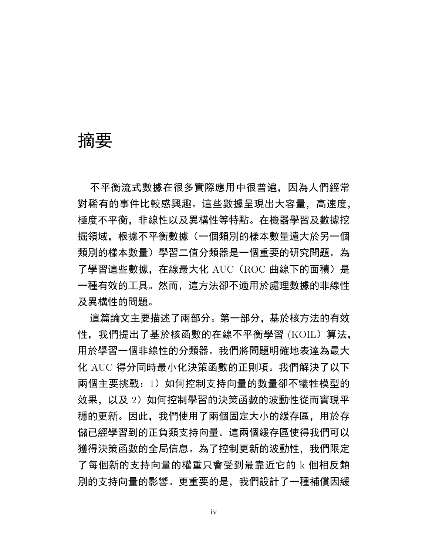## 摘要

不平衡流式數據在很多實際應用中很普遍,因為人們經常 對稀有的事件比較感興趣。這些數據呈現出大容量,高速度, 極度不平衡,非線性以及異構性等特點。在機器學習及數據挖 掘領域,根據不平衡數據(一個類別的樣本數量遠大於另一個 類別的樣本數量)學習二值分類器是一個重要的研究問題。為 了學習這些數據, 在線最大化 AUC (ROC 曲線下的面積) 是 一種有效的工具。然而,這方法卻不適用於處理數據的非線性 及異構性的問題。

這篇論文主要描述了兩部分。第一部分,基於核方法的有效 性,我們提出了基於核函數的在線不平衡學習 (KOIL) 算法, 用於學習一個非線性的分類器。我們將問題明確地表達為最大 化 AUC 得分同時最小化決策函數的正則項。我們解決了以下 兩個主要挑戰: 1) 如何控制支持向量的數量卻不犧牲模型的 效果, 以及 2) 如何控制學習的決策函數的波動性從而實現平 穩的更新。因此,我們使用了兩個固定大小的緩存區,用於存 儲已經學習到的正負類支持向量。這兩個緩存區使得我們可以 獲得決策函數的全局信息。為了控制更新的波動性,我們限定 了每個新的支持向量的權重只會受到最靠近它的 k 個相反類 別的支持向量的影響。更重要的是,我們設計了一種補償因緩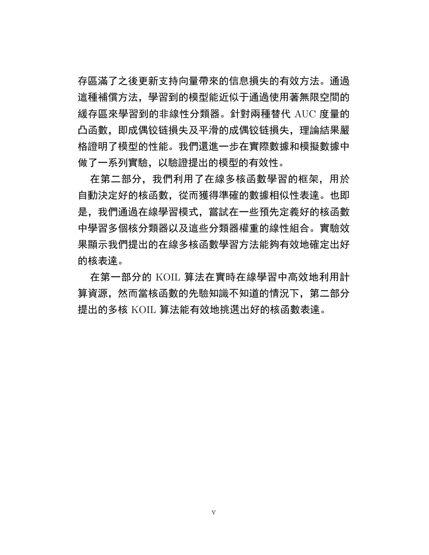存區滿了之後更新支持向量帶來的信息損失的有效方法。通過 這種補償方法,學習到的模型能近似于通過使用著無限空間的 緩存區來學習到的非線性分類器。針對兩種替代 AUC 度量的 凸函數,即成偶铰链損失及平滑的成偶铰链損失,理論結果嚴 格證明了模型的性能。我們還進一步在實際數據和模擬數據中 做了一系列實驗,以驗證提出的模型的有效性。

在第二部分,我們利用了在線多核函數學習的框架,用於 自動決定好的核函數,從而獲得準確的數據相似性表達。也即 是,我們通過在線學習模式,嘗試在一些預先定義好的核函數 中學習多個核分類器以及這些分類器權重的線性組合。實驗效 果顯示我們提出的在線多核函數學習方法能夠有效地確定出好 的核表達。

在第一部分的 KOIL 算法在實時在線學習中高效地利用計 算資源,然而當核函數的先驗知識不知道的情況下,第二部分 提出的多核 KOIL 算法能有效地挑選出好的核函數表達。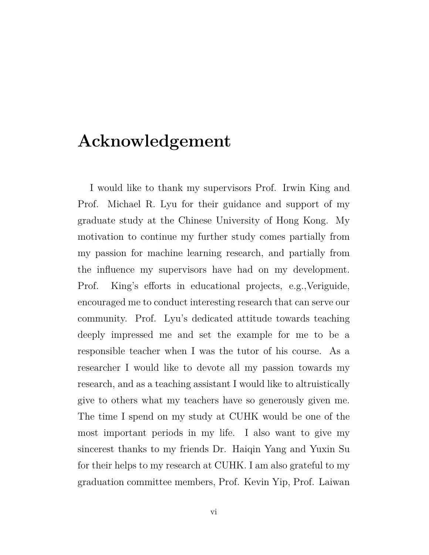## **Acknowledgement**

I would like to thank my supervisors Prof. Irwin King and Prof. Michael R. Lyu for their guidance and support of my graduate study at the Chinese University of Hong Kong. My motivation to continue my further study comes partially from my passion for machine learning research, and partially from the influence my supervisors have had on my development. Prof. King's efforts in educational projects, e.g.,Veriguide, encouraged me to conduct interesting research that can serve our community. Prof. Lyu's dedicated attitude towards teaching deeply impressed me and set the example for me to be a responsible teacher when I was the tutor of his course. As a researcher I would like to devote all my passion towards my research, and as a teaching assistant I would like to altruistically give to others what my teachers have so generously given me. The time I spend on my study at CUHK would be one of the most important periods in my life. I also want to give my sincerest thanks to my friends Dr. Haiqin Yang and Yuxin Su for their helps to my research at CUHK. I am also grateful to my graduation committee members, Prof. Kevin Yip, Prof. Laiwan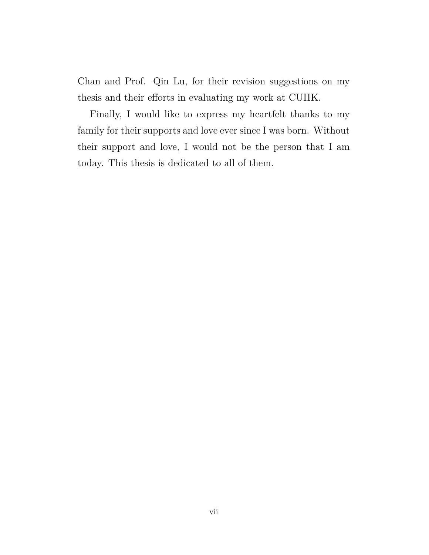Chan and Prof. Qin Lu, for their revision suggestions on my thesis and their efforts in evaluating my work at CUHK.

Finally, I would like to express my heartfelt thanks to my family for their supports and love ever since I was born. Without their support and love, I would not be the person that I am today. This thesis is dedicated to all of them.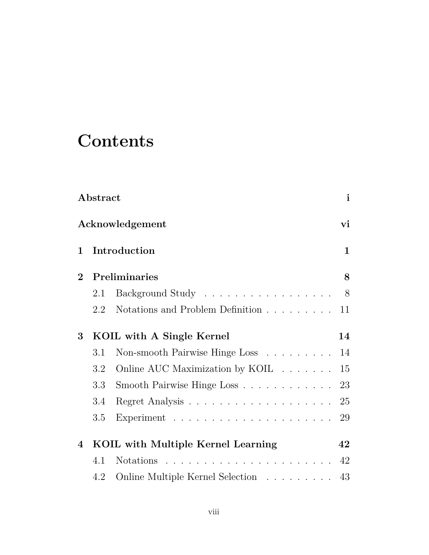# **Contents**

| $\mathbf{i}$<br>Abstract |         |                                                                        |              |  |
|--------------------------|---------|------------------------------------------------------------------------|--------------|--|
| Acknowledgement<br>vi    |         |                                                                        |              |  |
| $\mathbf{1}$             |         | Introduction                                                           | $\mathbf{1}$ |  |
| $\overline{2}$           |         | Preliminaries                                                          | 8            |  |
|                          | 2.1     | Background Study 8                                                     |              |  |
|                          | 2.2     | Notations and Problem Definition                                       | 11           |  |
| 3                        |         | KOIL with A Single Kernel                                              | 14           |  |
|                          | 3.1     | Non-smooth Pairwise Hinge Loss                                         | 14           |  |
|                          | $3.2\,$ | Online AUC Maximization by KOIL                                        | 15           |  |
|                          | 3.3     | Smooth Pairwise Hinge Loss                                             | 23           |  |
|                          | 3.4     |                                                                        | 25           |  |
|                          | 3.5     |                                                                        | 29           |  |
| 4                        |         | KOIL with Multiple Kernel Learning                                     | 42           |  |
|                          | 4.1     |                                                                        | 42           |  |
|                          | 4.2     | Online Multiple Kernel Selection $\;\ldots\; \ldots\; \ldots\; \ldots$ | 43           |  |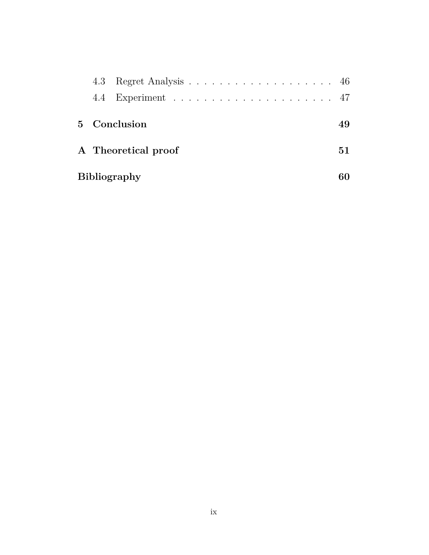|              | 4.3 |                     |     |
|--------------|-----|---------------------|-----|
|              |     |                     |     |
| $\mathbf{5}$ |     | Conclusion          | 49  |
|              |     | A Theoretical proof | 51. |
|              |     | <b>Bibliography</b> |     |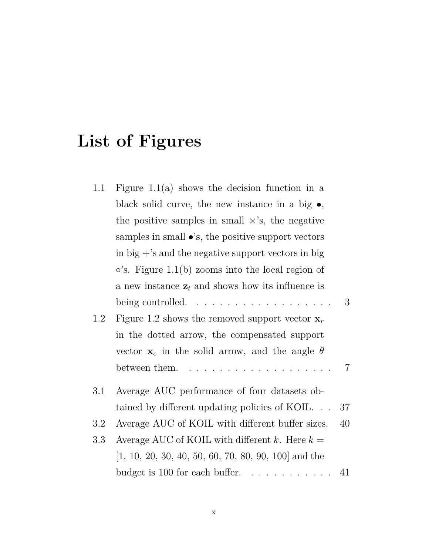# **List of Figures**

| 1.1     | Figure 1.1(a) shows the decision function in a                              |
|---------|-----------------------------------------------------------------------------|
|         | black solid curve, the new instance in a big $\bullet$ ,                    |
|         | the positive samples in small $\times$ 's, the negative                     |
|         | samples in small $\bullet$ 's, the positive support vectors                 |
|         | in big $+$ 's and the negative support vectors in big                       |
|         | $\circ$ 's. Figure 1.1(b) zooms into the local region of                    |
|         | a new instance $z_t$ and shows how its influence is                         |
|         | 3<br>being controlled. $\ldots \ldots \ldots \ldots \ldots \ldots$          |
| 1.2     | Figure 1.2 shows the removed support vector $\mathbf{x}_r$                  |
|         | in the dotted arrow, the compensated support                                |
|         | vector $\mathbf{x}_c$ in the solid arrow, and the angle $\theta$            |
|         | $\overline{7}$<br>between them. $\dots \dots \dots \dots \dots \dots \dots$ |
| $3.1\,$ | Average AUC performance of four datasets ob-                                |
|         | 37<br>tained by different updating policies of KOIL                         |
| $3.2\,$ | Average AUC of KOIL with different buffer sizes.<br>40                      |
| 3.3     | Average AUC of KOIL with different k. Here $k =$                            |
|         | $[1, 10, 20, 30, 40, 50, 60, 70, 80, 90, 100]$ and the                      |
|         |                                                                             |
|         |                                                                             |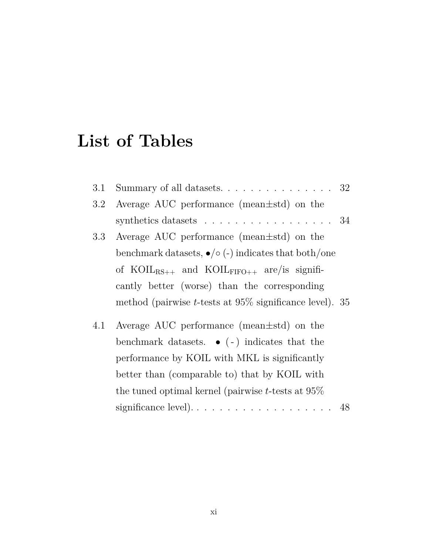# **List of Tables**

| 3.1 | Summary of all datasets. 32                                        |  |
|-----|--------------------------------------------------------------------|--|
| 3.2 | Average AUC performance (mean $\pm$ std) on the                    |  |
|     | synthetics datasets $\ldots \ldots \ldots \ldots \ldots \ldots 34$ |  |
| 3.3 | Average AUC performance (mean $\pm$ std) on the                    |  |
|     | benchmark datasets, $\bullet/\circ$ (-) indicates that both/one    |  |
|     | of $Koll_{RS++}$ and $Koll_{FIFO++}$ are/is signifi-               |  |
|     | cantly better (worse) than the corresponding                       |  |
|     | method (pairwise <i>t</i> -tests at $95\%$ significance level). 35 |  |
| 4.1 | Average AUC performance (mean $\pm$ std) on the                    |  |
|     | benchmark datasets. $\bullet$ (-) indicates that the               |  |
|     | performance by KOIL with MKL is significantly                      |  |
|     | better than (comparable to) that by KOIL with                      |  |
|     | the tuned optimal kernel (pairwise $t$ -tests at $95\%$            |  |
|     |                                                                    |  |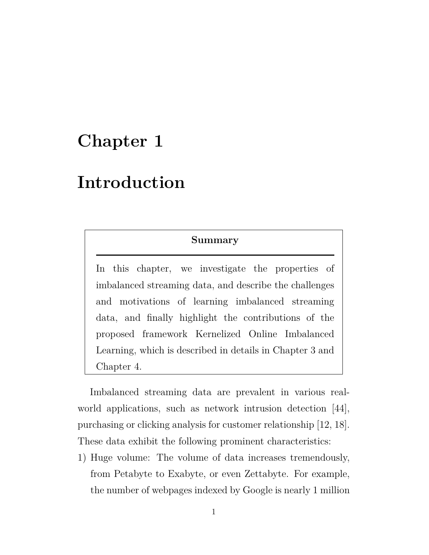# **Chapter 1**

## **Introduction**

#### **Summary**

In this chapter, we investigate the properties of imbalanced streaming data, and describe the challenges and motivations of learning imbalanced streaming data, and finally highlight the contributions of the proposed framework Kernelized Online Imbalanced Learning, which is described in details in Chapter 3 and Chapter 4.

Imbalanced streaming data are prevalent in various realworld applications, such as network intrusion detection [44], purchasing or clicking analysis for customer relationship [12, 18]. These data exhibit the following prominent characteristics:

1) Huge volume: The volume of data increases tremendously, from Petabyte to Exabyte, or even Zettabyte. For example, the number of webpages indexed by Google is nearly 1 million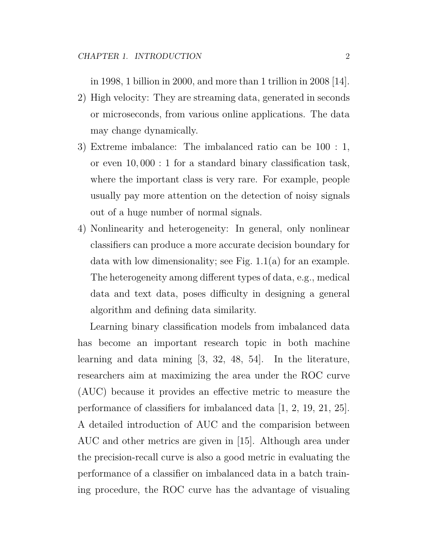in 1998, 1 billion in 2000, and more than 1 trillion in 2008 [14].

- 2) High velocity: They are streaming data, generated in seconds or microseconds, from various online applications. The data may change dynamically.
- 3) Extreme imbalance: The imbalanced ratio can be 100 : 1, or even 10*,* 000 : 1 for a standard binary classification task, where the important class is very rare. For example, people usually pay more attention on the detection of noisy signals out of a huge number of normal signals.
- 4) Nonlinearity and heterogeneity: In general, only nonlinear classifiers can produce a more accurate decision boundary for data with low dimensionality; see Fig. 1.1(a) for an example. The heterogeneity among different types of data, e.g., medical data and text data, poses difficulty in designing a general algorithm and defining data similarity.

Learning binary classification models from imbalanced data has become an important research topic in both machine learning and data mining [3, 32, 48, 54]. In the literature, researchers aim at maximizing the area under the ROC curve (AUC) because it provides an effective metric to measure the performance of classifiers for imbalanced data [1, 2, 19, 21, 25]. A detailed introduction of AUC and the comparision between AUC and other metrics are given in [15]. Although area under the precision-recall curve is also a good metric in evaluating the performance of a classifier on imbalanced data in a batch training procedure, the ROC curve has the advantage of visualing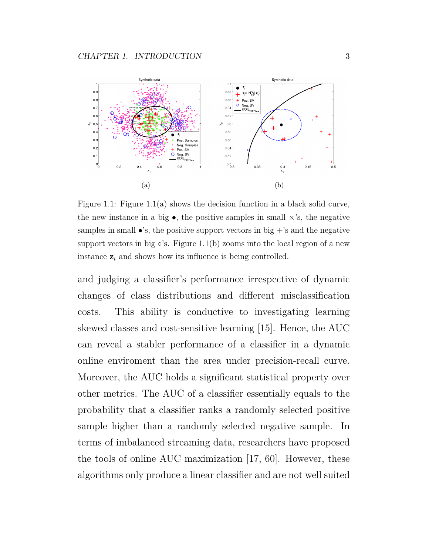

Figure 1.1: Figure 1.1(a) shows the decision function in a black solid curve, the new instance in a big  $\bullet$ , the positive samples in small  $\times$ 's, the negative samples in small  $\bullet$ 's, the positive support vectors in big  $+$ 's and the negative support vectors in big *◦*'s. Figure 1.1(b) zooms into the local region of a new instance  $z_t$  and shows how its influence is being controlled.

and judging a classifier's performance irrespective of dynamic changes of class distributions and different misclassification costs. This ability is conductive to investigating learning skewed classes and cost-sensitive learning [15]. Hence, the AUC can reveal a stabler performance of a classifier in a dynamic online enviroment than the area under precision-recall curve. Moreover, the AUC holds a significant statistical property over other metrics. The AUC of a classifier essentially equals to the probability that a classifier ranks a randomly selected positive sample higher than a randomly selected negative sample. In terms of imbalanced streaming data, researchers have proposed the tools of online AUC maximization [17, 60]. However, these algorithms only produce a linear classifier and are not well suited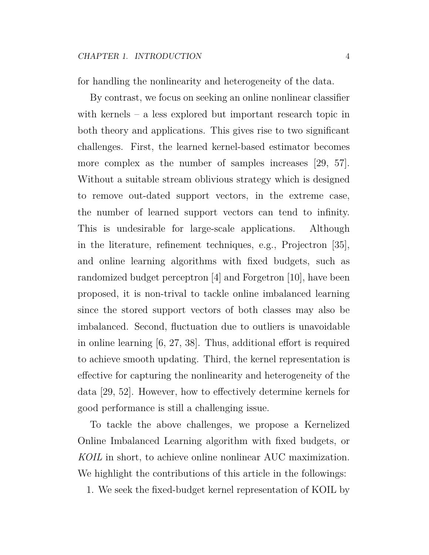for handling the nonlinearity and heterogeneity of the data.

By contrast, we focus on seeking an online nonlinear classifier with kernels – a less explored but important research topic in both theory and applications. This gives rise to two significant challenges. First, the learned kernel-based estimator becomes more complex as the number of samples increases [29, 57]. Without a suitable stream oblivious strategy which is designed to remove out-dated support vectors, in the extreme case, the number of learned support vectors can tend to infinity. This is undesirable for large-scale applications. Although in the literature, refinement techniques, e.g., Projectron [35], and online learning algorithms with fixed budgets, such as randomized budget perceptron [4] and Forgetron [10], have been proposed, it is non-trival to tackle online imbalanced learning since the stored support vectors of both classes may also be imbalanced. Second, fluctuation due to outliers is unavoidable in online learning [6, 27, 38]. Thus, additional effort is required to achieve smooth updating. Third, the kernel representation is effective for capturing the nonlinearity and heterogeneity of the data [29, 52]. However, how to effectively determine kernels for good performance is still a challenging issue.

To tackle the above challenges, we propose a Kernelized Online Imbalanced Learning algorithm with fixed budgets, or *KOIL* in short, to achieve online nonlinear AUC maximization. We highlight the contributions of this article in the followings:

1. We seek the fixed-budget kernel representation of KOIL by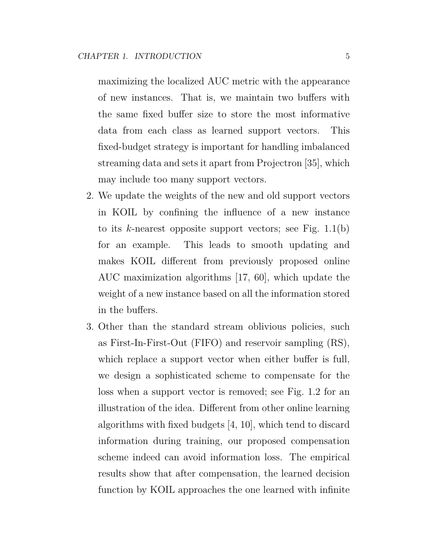maximizing the localized AUC metric with the appearance of new instances. That is, we maintain two buffers with the same fixed buffer size to store the most informative data from each class as learned support vectors. This fixed-budget strategy is important for handling imbalanced streaming data and sets it apart from Projectron [35], which may include too many support vectors.

- 2. We update the weights of the new and old support vectors in KOIL by confining the influence of a new instance to its *k*-nearest opposite support vectors; see Fig. 1.1(b) for an example. This leads to smooth updating and makes KOIL different from previously proposed online AUC maximization algorithms [17, 60], which update the weight of a new instance based on all the information stored in the buffers.
- 3. Other than the standard stream oblivious policies, such as First-In-First-Out (FIFO) and reservoir sampling (RS), which replace a support vector when either buffer is full, we design a sophisticated scheme to compensate for the loss when a support vector is removed; see Fig. 1.2 for an illustration of the idea. Different from other online learning algorithms with fixed budgets [4, 10], which tend to discard information during training, our proposed compensation scheme indeed can avoid information loss. The empirical results show that after compensation, the learned decision function by KOIL approaches the one learned with infinite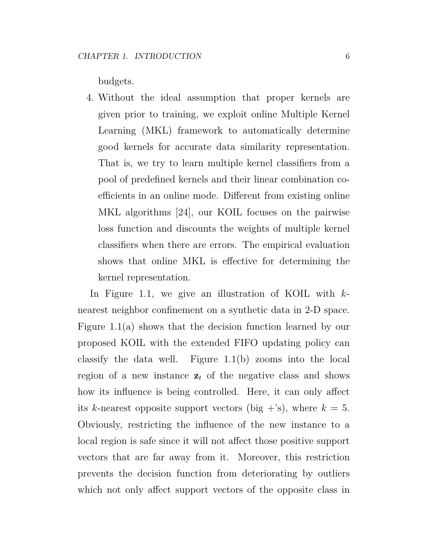budgets.

4. Without the ideal assumption that proper kernels are given prior to training, we exploit online Multiple Kernel Learning (MKL) framework to automatically determine good kernels for accurate data similarity representation. That is, we try to learn multiple kernel classifiers from a pool of predefined kernels and their linear combination coefficients in an online mode. Different from existing online MKL algorithms [24], our KOIL focuses on the pairwise loss function and discounts the weights of multiple kernel classifiers when there are errors. The empirical evaluation shows that online MKL is effective for determining the kernel representation.

In Figure 1.1, we give an illustration of KOIL with *k*nearest neighbor confinement on a synthetic data in 2-D space. Figure 1.1(a) shows that the decision function learned by our proposed KOIL with the extended FIFO updating policy can classify the data well. Figure 1.1(b) zooms into the local region of a new instance  $z_t$  of the negative class and shows how its influence is being controlled. Here, it can only affect its *k*-nearest opposite support vectors (big  $+$ 's), where  $k = 5$ . Obviously, restricting the influence of the new instance to a local region is safe since it will not affect those positive support vectors that are far away from it. Moreover, this restriction prevents the decision function from deteriorating by outliers which not only affect support vectors of the opposite class in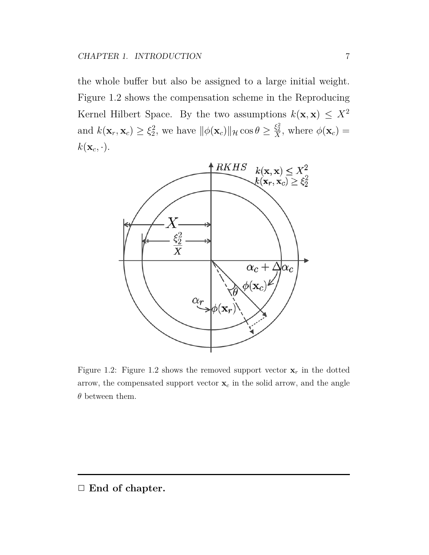the whole buffer but also be assigned to a large initial weight. Figure 1.2 shows the compensation scheme in the Reproducing Kernel Hilbert Space. By the two assumptions  $k(\mathbf{x}, \mathbf{x}) \leq X^2$ and  $k(\mathbf{x}_r, \mathbf{x}_c) \geq \xi_2^2$ 2, we have  $\|\phi(\mathbf{x}_c)\|_{\mathcal{H}} \cos \theta \geq \frac{\xi_2^2}{X}$ , where  $\phi(\mathbf{x}_c)$  =  $k(\mathbf{x}_c, \cdot).$ 



Figure 1.2: Figure 1.2 shows the removed support vector  $\mathbf{x}_r$  in the dotted arrow, the compensated support vector  $\mathbf{x}_c$  in the solid arrow, and the angle *θ* between them.

*✷* **End of chapter.**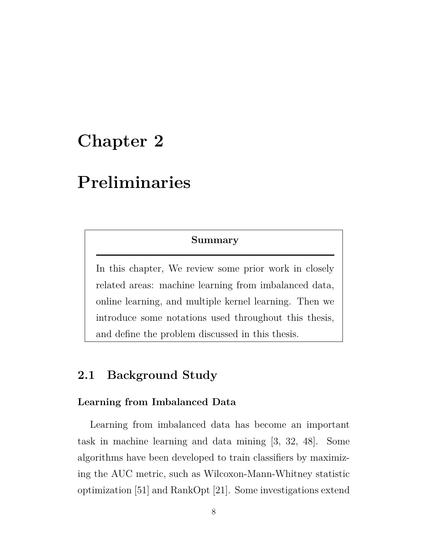# **Chapter 2**

## **Preliminaries**

#### **Summary**

In this chapter, We review some prior work in closely related areas: machine learning from imbalanced data, online learning, and multiple kernel learning. Then we introduce some notations used throughout this thesis, and define the problem discussed in this thesis.

## **2.1 Background Study**

#### **Learning from Imbalanced Data**

Learning from imbalanced data has become an important task in machine learning and data mining [3, 32, 48]. Some algorithms have been developed to train classifiers by maximizing the AUC metric, such as Wilcoxon-Mann-Whitney statistic optimization [51] and RankOpt [21]. Some investigations extend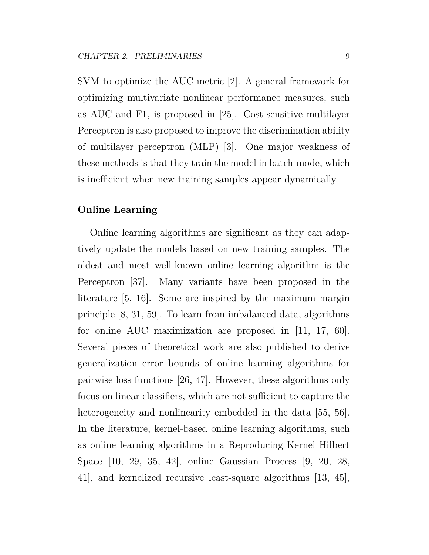SVM to optimize the AUC metric [2]. A general framework for optimizing multivariate nonlinear performance measures, such as AUC and F1, is proposed in [25]. Cost-sensitive multilayer Perceptron is also proposed to improve the discrimination ability of multilayer perceptron (MLP) [3]. One major weakness of these methods is that they train the model in batch-mode, which is inefficient when new training samples appear dynamically.

#### **Online Learning**

Online learning algorithms are significant as they can adaptively update the models based on new training samples. The oldest and most well-known online learning algorithm is the Perceptron [37]. Many variants have been proposed in the literature [5, 16]. Some are inspired by the maximum margin principle [8, 31, 59]. To learn from imbalanced data, algorithms for online AUC maximization are proposed in [11, 17, 60]. Several pieces of theoretical work are also published to derive generalization error bounds of online learning algorithms for pairwise loss functions [26, 47]. However, these algorithms only focus on linear classifiers, which are not sufficient to capture the heterogeneity and nonlinearity embedded in the data [55, 56]. In the literature, kernel-based online learning algorithms, such as online learning algorithms in a Reproducing Kernel Hilbert Space [10, 29, 35, 42], online Gaussian Process [9, 20, 28, 41], and kernelized recursive least-square algorithms [13, 45],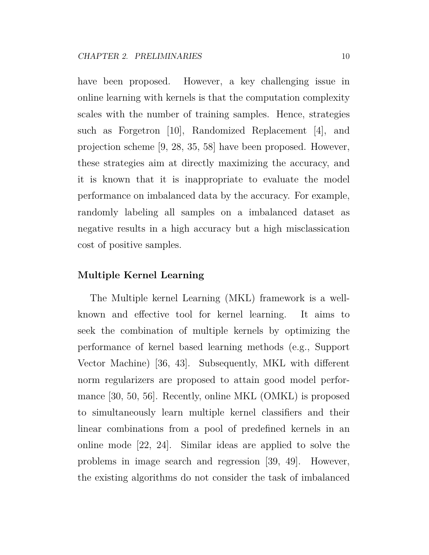have been proposed. However, a key challenging issue in online learning with kernels is that the computation complexity scales with the number of training samples. Hence, strategies such as Forgetron [10], Randomized Replacement [4], and projection scheme [9, 28, 35, 58] have been proposed. However, these strategies aim at directly maximizing the accuracy, and it is known that it is inappropriate to evaluate the model performance on imbalanced data by the accuracy. For example, randomly labeling all samples on a imbalanced dataset as negative results in a high accuracy but a high misclassication cost of positive samples.

#### **Multiple Kernel Learning**

The Multiple kernel Learning (MKL) framework is a wellknown and effective tool for kernel learning. It aims to seek the combination of multiple kernels by optimizing the performance of kernel based learning methods (e.g., Support Vector Machine) [36, 43]. Subsequently, MKL with different norm regularizers are proposed to attain good model performance [30, 50, 56]. Recently, online MKL (OMKL) is proposed to simultaneously learn multiple kernel classifiers and their linear combinations from a pool of predefined kernels in an online mode [22, 24]. Similar ideas are applied to solve the problems in image search and regression [39, 49]. However, the existing algorithms do not consider the task of imbalanced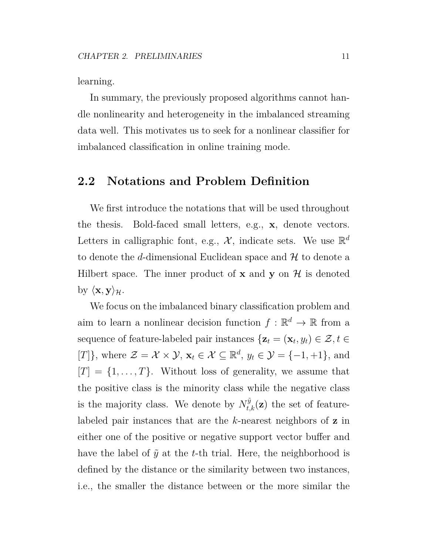learning.

In summary, the previously proposed algorithms cannot handle nonlinearity and heterogeneity in the imbalanced streaming data well. This motivates us to seek for a nonlinear classifier for imbalanced classification in online training mode.

### **2.2 Notations and Problem Definition**

We first introduce the notations that will be used throughout the thesis. Bold-faced small letters, e.g., **x**, denote vectors. Letters in calligraphic font, e.g.,  $\mathcal{X}$ , indicate sets. We use  $\mathbb{R}^d$ to denote the *d*-dimensional Euclidean space and *H* to denote a Hilbert space. The inner product of **x** and **y** on  $\mathcal{H}$  is denoted by  $\langle \mathbf{x}, \mathbf{y} \rangle_{\mathcal{H}}$ .

We focus on the imbalanced binary classification problem and aim to learn a nonlinear decision function  $f : \mathbb{R}^d \to \mathbb{R}$  from a sequence of feature-labeled pair instances  $\{z_t = (\mathbf{x}_t, y_t) \in \mathcal{Z}, t \in \mathcal{Z} \}$  $[T]$ <sup>}</sup>, where  $\mathcal{Z} = \mathcal{X} \times \mathcal{Y}$ ,  $\mathbf{x}_t \in \mathcal{X} \subseteq \mathbb{R}^d$ ,  $y_t \in \mathcal{Y} = \{-1, +1\}$ , and  $[T] = \{1, \ldots, T\}$ . Without loss of generality, we assume that the positive class is the minority class while the negative class is the majority class. We denote by  $N_{t,k}^{\tilde{y}}(z)$  the set of featurelabeled pair instances that are the *k*-nearest neighbors of **z** in either one of the positive or negative support vector buffer and have the label of  $\tilde{y}$  at the *t*-th trial. Here, the neighborhood is defined by the distance or the similarity between two instances, i.e., the smaller the distance between or the more similar the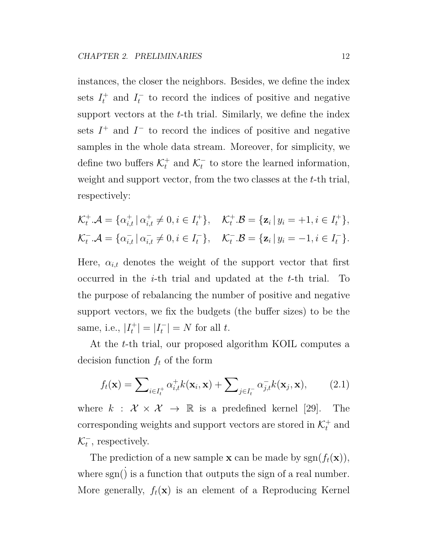instances, the closer the neighbors. Besides, we define the index sets  $I_t^+$  and  $I_t^ \bar{t}$  to record the indices of positive and negative support vectors at the *t*-th trial. Similarly, we define the index sets  $I^+$  and  $I^-$  to record the indices of positive and negative samples in the whole data stream. Moreover, for simplicity, we define two buffers  $\mathcal{K}_t^+$  and  $\mathcal{K}_t^ \bar{t}$  to store the learned information, weight and support vector, from the two classes at the *t*-th trial, respectively:

$$
\mathcal{K}_t^+ \cdot \mathcal{A} = \{ \alpha_{i,t}^+ \mid \alpha_{i,t}^+ \neq 0, i \in I_t^+ \}, \quad \mathcal{K}_t^+ \cdot \mathcal{B} = \{ \mathbf{z}_i \mid y_i = +1, i \in I_t^+ \},
$$
  

$$
\mathcal{K}_t^- \cdot \mathcal{A} = \{ \alpha_{i,t}^- \mid \alpha_{i,t}^- \neq 0, i \in I_t^- \}, \quad \mathcal{K}_t^- \cdot \mathcal{B} = \{ \mathbf{z}_i \mid y_i = -1, i \in I_t^- \}.
$$

Here,  $\alpha_{i,t}$  denotes the weight of the support vector that first occurred in the *i*-th trial and updated at the *t*-th trial. To the purpose of rebalancing the number of positive and negative support vectors, we fix the budgets (the buffer sizes) to be the same, i.e.,  $|I_t^+|$  $|I_t^+| = |I_t^-|$  $|t_t^-| = N$  for all *t*.

At the *t*-th trial, our proposed algorithm KOIL computes a decision function  $f_t$  of the form

$$
f_t(\mathbf{x}) = \sum_{i \in I_t^+} \alpha_{i,t}^+ k(\mathbf{x}_i, \mathbf{x}) + \sum_{j \in I_t^-} \alpha_{j,t}^- k(\mathbf{x}_j, \mathbf{x}), \qquad (2.1)
$$

where  $k : \mathcal{X} \times \mathcal{X} \rightarrow \mathbb{R}$  is a predefined kernel [29]. The corresponding weights and support vectors are stored in  $\mathcal{K}_t^+$  and *K −*  $\overline{t}$ , respectively.

The prediction of a new sample **x** can be made by  $sgn(f_t(\mathbf{x}))$ , where  $sgn()$  is a function that outputs the sign of a real number. More generally,  $f_t(\mathbf{x})$  is an element of a Reproducing Kernel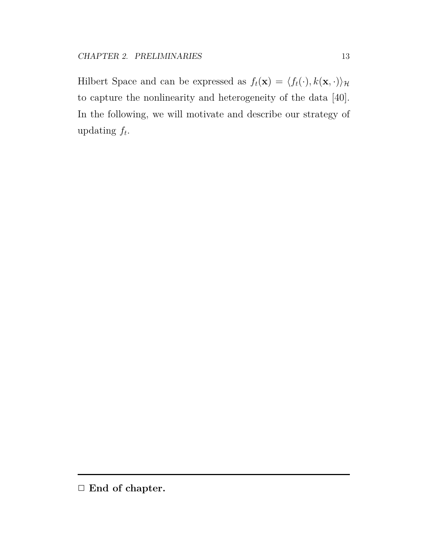Hilbert Space and can be expressed as  $f_t(\mathbf{x}) = \langle f_t(\cdot), k(\mathbf{x}, \cdot) \rangle_{\mathcal{H}}$ to capture the nonlinearity and heterogeneity of the data [40]. In the following, we will motivate and describe our strategy of updating *f<sup>t</sup>* .

*<sup>✷</sup>* **End of chapter.**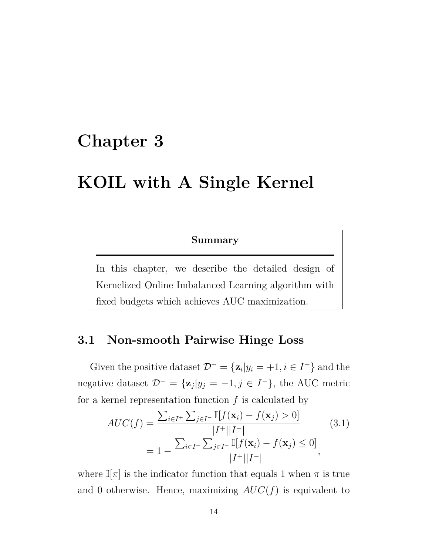## **Chapter 3**

## **KOIL with A Single Kernel**

#### **Summary**

In this chapter, we describe the detailed design of Kernelized Online Imbalanced Learning algorithm with fixed budgets which achieves AUC maximization.

### **3.1 Non-smooth Pairwise Hinge Loss**

Given the positive dataset  $\mathcal{D}^+ = {\mathbf{z}_i | y_i = +1, i \in I^+ }$  and the negative dataset  $\mathcal{D}^- = {\mathbf{z}_j | y_j = -1, j \in I^- }$ , the AUC metric for a kernel representation function *f* is calculated by

$$
AUC(f) = \frac{\sum_{i \in I^+} \sum_{j \in I^-} \mathbb{I}[f(\mathbf{x}_i) - f(\mathbf{x}_j) > 0]}{|I^+||I^-|} \qquad (3.1)
$$
\n
$$
= 1 - \frac{\sum_{i \in I^+} \sum_{j \in I^-} \mathbb{I}[f(\mathbf{x}_i) - f(\mathbf{x}_j) \le 0]}{|I^+||I^-|},
$$

where  $\mathbb{I}[\pi]$  is the indicator function that equals 1 when  $\pi$  is true and 0 otherwise. Hence, maximizing  $AUC(f)$  is equivalent to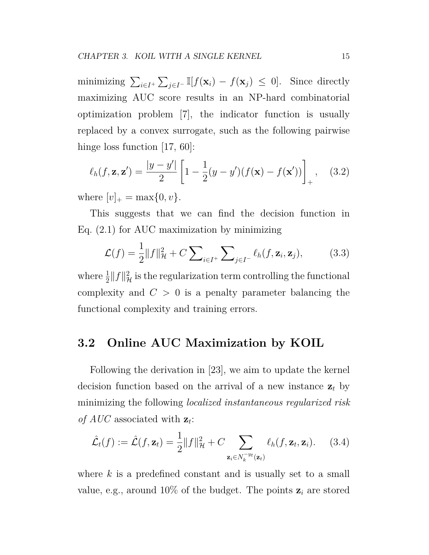minimizing  $\sum_{i \in I^+} \sum_{j \in I^-} \mathbb{I}[f(\mathbf{x}_i) - f(\mathbf{x}_j) \leq 0]$ . Since directly maximizing AUC score results in an NP-hard combinatorial optimization problem [7], the indicator function is usually replaced by a convex surrogate, such as the following pairwise hinge loss function [17, 60]:

$$
\ell_h(f, \mathbf{z}, \mathbf{z}') = \frac{|y - y'|}{2} \left[ 1 - \frac{1}{2} (y - y') (f(\mathbf{x}) - f(\mathbf{x}')) \right]_+, \quad (3.2)
$$

where  $[v]_+ = \max\{0, v\}.$ 

This suggests that we can find the decision function in Eq. (2.1) for AUC maximization by minimizing

$$
\mathcal{L}(f) = \frac{1}{2} ||f||_{\mathcal{H}}^2 + C \sum_{i \in I^+} \sum_{j \in I^-} \ell_h(f, \mathbf{z}_i, \mathbf{z}_j), \tag{3.3}
$$

where  $\frac{1}{2} ||f||^2_{\mathcal{H}}$  is the regularization term controlling the functional complexity and  $C > 0$  is a penalty parameter balancing the functional complexity and training errors.

### **3.2 Online AUC Maximization by KOIL**

Following the derivation in [23], we aim to update the kernel decision function based on the arrival of a new instance  $z_t$  by minimizing the following *localized instantaneous regularized risk of AUC* associated with  $z_t$ :

$$
\hat{\mathcal{L}}_t(f) := \hat{\mathcal{L}}(f, \mathbf{z}_t) = \frac{1}{2} ||f||_{\mathcal{H}}^2 + C \sum_{\mathbf{z}_i \in N_k^{-y_t}(\mathbf{z}_t)} \ell_h(f, \mathbf{z}_t, \mathbf{z}_i). \tag{3.4}
$$

where *k* is a predefined constant and is usually set to a small value, e.g., around  $10\%$  of the budget. The points  $z_i$  are stored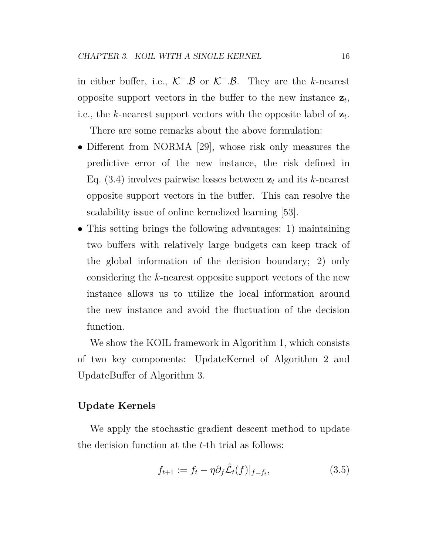in either buffer, i.e.,  $K^+$ *.B* or  $K^-$ *.B*. They are the *k*-nearest opposite support vectors in the buffer to the new instance  $z_t$ , i.e., the *k*-nearest support vectors with the opposite label of  $z_t$ .

There are some remarks about the above formulation:

- Different from NORMA [29], whose risk only measures the predictive error of the new instance, the risk defined in Eq.  $(3.4)$  involves pairwise losses between  $z_t$  and its *k*-nearest opposite support vectors in the buffer. This can resolve the scalability issue of online kernelized learning [53].
- This setting brings the following advantages: 1) maintaining two buffers with relatively large budgets can keep track of the global information of the decision boundary; 2) only considering the *k*-nearest opposite support vectors of the new instance allows us to utilize the local information around the new instance and avoid the fluctuation of the decision function.

We show the KOIL framework in Algorithm 1, which consists of two key components: UpdateKernel of Algorithm 2 and UpdateBuffer of Algorithm 3.

#### **Update Kernels**

We apply the stochastic gradient descent method to update the decision function at the *t*-th trial as follows:

$$
f_{t+1} := f_t - \eta \partial_f \hat{\mathcal{L}}_t(f)|_{f=f_t},\tag{3.5}
$$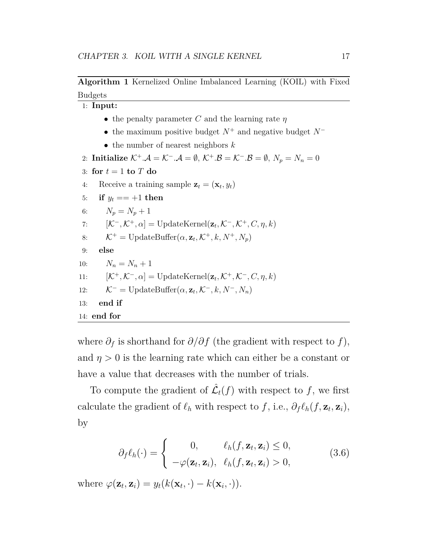#### **Algorithm 1** Kernelized Online Imbalanced Learning (KOIL) with Fixed Budgets

1: **Input:** *•* the penalty parameter *C* and the learning rate *η •* the maximum positive budget  $N^+$  and negative budget  $N^-$ *•* the number of nearest neighbors *k* 2: **Initialize**  $K^+$ .*A* =  $K^-$ .*A* =  $\emptyset$ ,  $K^+$ .*B* =  $K^-$ .*B* =  $\emptyset$ ,  $N_p = N_n = 0$ 3: for  $t = 1$  to  $T$  do 4: Receive a training sample  $\mathbf{z}_t = (\mathbf{x}_t, y_t)$ 5: **if**  $y_t = +1$  **then** 6:  $N_p = N_p + 1$ 7:  $[\mathcal{K}^-, \mathcal{K}^+, \alpha] = \text{UpdateKernel}(\mathbf{z}_t, \mathcal{K}^-, \mathcal{K}^+, C, \eta, k)$ 8:  $\mathcal{K}^+ = \text{UpdateBuffer}(\alpha, \mathbf{z}_t, \mathcal{K}^+, k, N^+, N_p)$ 9: **else** 10:  $N_n = N_n + 1$ 11:  $[\mathcal{K}^+, \mathcal{K}^-, \alpha] = \text{UpdateKernel}(\mathbf{z}_t, \mathcal{K}^+, \mathcal{K}^-, C, \eta, k)$ 12:  $\mathcal{K}^- = \text{UpdateBuffer}(\alpha, \mathbf{z}_t, \mathcal{K}^-, k, N^-, N_n)$ 13: **end if** 14: **end for**

where  $\partial_f$  is shorthand for  $\partial/\partial f$  (the gradient with respect to  $f$ ), and  $\eta > 0$  is the learning rate which can either be a constant or have a value that decreases with the number of trials.

To compute the gradient of  $\mathcal{L}_t(f)$  with respect to f, we first calculate the gradient of  $\ell_h$  with respect to  $f$ , i.e.,  $\partial_f \ell_h(f, \mathbf{z}_t, \mathbf{z}_i)$ , by

$$
\partial_f \ell_h(\cdot) = \begin{cases} 0, & \ell_h(f, \mathbf{z}_t, \mathbf{z}_i) \le 0, \\ -\varphi(\mathbf{z}_t, \mathbf{z}_i), & \ell_h(f, \mathbf{z}_t, \mathbf{z}_i) > 0, \end{cases} \tag{3.6}
$$

where  $\varphi(\mathbf{z}_t, \mathbf{z}_i) = y_t(k(\mathbf{x}_t, \cdot) - k(\mathbf{x}_i, \cdot)).$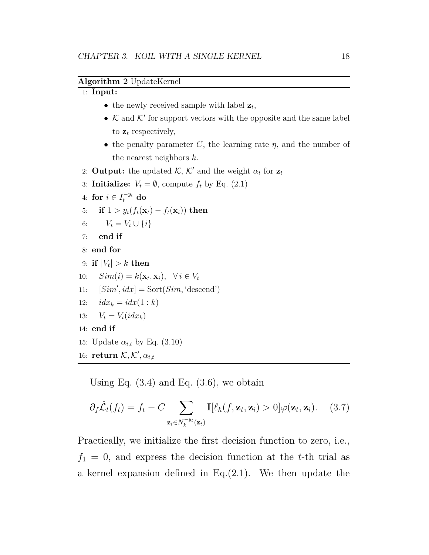#### **Algorithm 2** UpdateKernel

#### 1: **Input:**

- the newly received sample with label  $z_t$ ,
- $K$  and  $K'$  for support vectors with the opposite and the same label to  $z_t$  respectively,
- *•* the penalty parameter *C*, the learning rate *η*, and the number of the nearest neighbors *k*.
- 2: **Output:** the updated  $K$ ,  $K'$  and the weight  $\alpha_t$  for  $\mathbf{z}_t$
- 3: **Initialize:**  $V_t = \emptyset$ , compute  $f_t$  by Eq. (2.1)
- 4: for  $i \in I_t^{-y_t}$  do
- 5: **if**  $1 > y_t(f_t(\mathbf{x}_t) f_t(\mathbf{x}_i))$  then
- 6:  $V_t = V_t \cup \{i\}$
- 7: **end if**

8: **end for**

- $9: \text{ if } |V_t| > k \text{ then}$
- 10:  $Sim(i) = k(\mathbf{x}_t, \mathbf{x}_i), \forall i \in V_t$
- 11:  $[Sim', idx] = Sort(Sim, 'descend')$
- 12:  $idx_k = idx(1:k)$
- 13:  $V_t = V_t(idx_k)$
- 14: **end if**
- 15: Update  $\alpha_{i,t}$  by Eq. (3.10)
- 16: **return**  $K, K', \alpha_{t,t}$

Using Eq.  $(3.4)$  and Eq.  $(3.6)$ , we obtain

$$
\partial_f \hat{\mathcal{L}}_t(f_t) = f_t - C \sum_{\mathbf{z}_i \in N_k^{-y_t}(\mathbf{z}_t)} \mathbb{I}[\ell_h(f, \mathbf{z}_t, \mathbf{z}_i) > 0] \varphi(\mathbf{z}_t, \mathbf{z}_i). \quad (3.7)
$$

Practically, we initialize the first decision function to zero, i.e.,  $f_1 = 0$ , and express the decision function at the *t*-th trial as a kernel expansion defined in Eq.(2.1). We then update the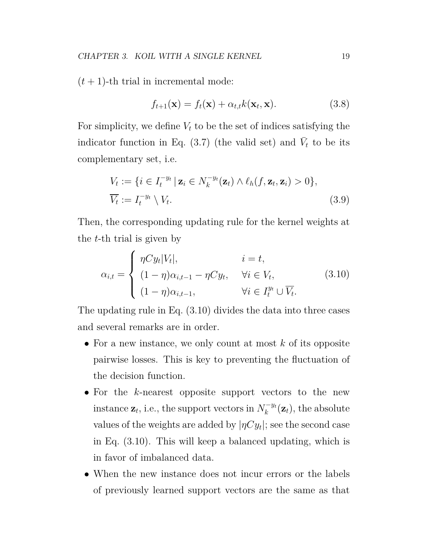$(t+1)$ -th trial in incremental mode:

$$
f_{t+1}(\mathbf{x}) = f_t(\mathbf{x}) + \alpha_{t,t} k(\mathbf{x}_t, \mathbf{x}). \tag{3.8}
$$

For simplicity, we define  $V_t$  to be the set of indices satisfying the indicator function in Eq.  $(3.7)$  (the valid set) and  $\bar{V}_t$  to be its complementary set, i.e.

$$
V_t := \{ i \in I_t^{-y_t} \mid \mathbf{z}_i \in N_k^{-y_t}(\mathbf{z}_t) \land \ell_h(f, \mathbf{z}_t, \mathbf{z}_i) > 0 \},
$$
  

$$
\overline{V_t} := I_t^{-y_t} \setminus V_t.
$$
 (3.9)

Then, the corresponding updating rule for the kernel weights at the *t*-th trial is given by

$$
\alpha_{i,t} = \begin{cases}\n\eta C y_t |V_t|, & i = t, \\
(1 - \eta) \alpha_{i,t-1} - \eta C y_t, & \forall i \in V_t, \\
(1 - \eta) \alpha_{i,t-1}, & \forall i \in I_t^{y_t} \cup \overline{V_t}.\n\end{cases}
$$
\n(3.10)

The updating rule in Eq. (3.10) divides the data into three cases and several remarks are in order.

- *•* For a new instance, we only count at most *k* of its opposite pairwise losses. This is key to preventing the fluctuation of the decision function.
- *•* For the *k*-nearest opposite support vectors to the new  $\sum_{k=1}^{\infty}$  *i*  $\sum_{k=1}^{\infty}$  *i*  $\sum_{k=1}^{\infty}$  *i*  $\sum_{k=1}^{\infty}$  *i*  $\sum_{k=1}^{\infty}$  *i*  $\sum_{k=1}^{\infty}$  *i i i i j i i i i i j i i i i j i i i i j i i i i j i i*  $\bar{k}_k^{-y_t}(\mathbf{z}_t)$ , the absolute values of the weights are added by  $|\eta Cy_t|$ ; see the second case in Eq. (3.10). This will keep a balanced updating, which is in favor of imbalanced data.
- *•* When the new instance does not incur errors or the labels of previously learned support vectors are the same as that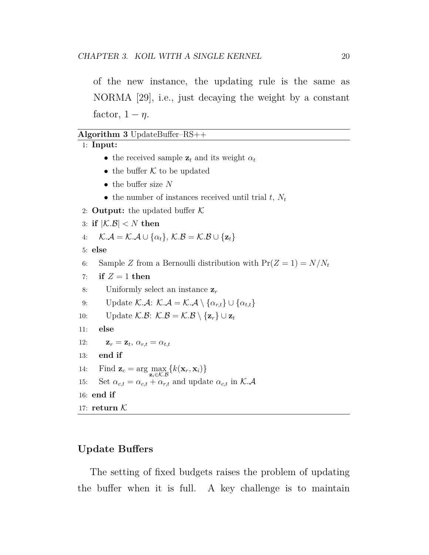**Algorithm 3** UpdateBuffer–RS++

1: **Input:**

of the new instance, the updating rule is the same as NORMA [29], i.e., just decaying the weight by a constant factor,  $1 - \eta$ .

|     | • the received sample $z_t$ and its weight $\alpha_t$                                                                                          |
|-----|------------------------------------------------------------------------------------------------------------------------------------------------|
|     | • the buffer $K$ to be updated                                                                                                                 |
|     | • the buffer size $N$                                                                                                                          |
|     | • the number of instances received until trial $t, N_t$                                                                                        |
|     | 2: <b>Output:</b> the updated buffer $\mathcal{K}$                                                                                             |
|     | 3: if $ \mathcal{K}.\mathcal{B}  < N$ then                                                                                                     |
| 4:  | $\mathcal{K}.\mathcal{A} = \mathcal{K}.\mathcal{A} \cup \{\alpha_t\}, \mathcal{K}.\mathcal{B} = \mathcal{K}.\mathcal{B} \cup \{\mathbf{z}_t\}$ |
|     | 5: else                                                                                                                                        |
| 6:  | Sample Z from a Bernoulli distribution with $Pr(Z = 1) = N/N_t$                                                                                |
| 7:  | if $Z = 1$ then                                                                                                                                |
| 8:  | Uniformly select an instance $z_r$                                                                                                             |
| 9:  | Update K.A: $K.A = K.A \setminus {\alpha_{r,t}} \cup {\alpha_{t,t}}$                                                                           |
| 10: | Update K.B: $K.B = K.B \setminus \{z_r\} \cup z_t$                                                                                             |
| 11: | else                                                                                                                                           |
| 12: | $\mathbf{z}_r = \mathbf{z}_t, \, \alpha_{r,t} = \alpha_{t,t}$                                                                                  |
| 13: | end if                                                                                                                                         |
| 14: | Find $\mathbf{z}_c = \arg \max_{\mathbf{z}_i \in \mathcal{K} \cup \mathcal{B}} \{k(\mathbf{x}_r, \mathbf{x}_i)\}\$                             |
| 15: | Set $\alpha_{c,t} = \alpha_{c,t} + \alpha_{r,t}$ and update $\alpha_{c,t}$ in K.A                                                              |
|     | $16:$ end if                                                                                                                                   |
|     | 17: return $K$                                                                                                                                 |

## **Update Buffers**

The setting of fixed budgets raises the problem of updating the buffer when it is full. A key challenge is to maintain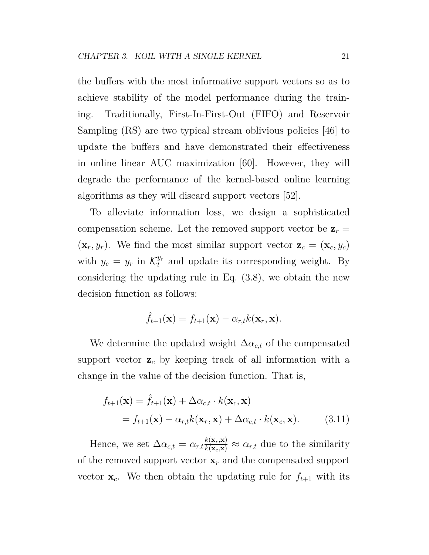the buffers with the most informative support vectors so as to achieve stability of the model performance during the training. Traditionally, First-In-First-Out (FIFO) and Reservoir Sampling (RS) are two typical stream oblivious policies [46] to update the buffers and have demonstrated their effectiveness in online linear AUC maximization [60]. However, they will degrade the performance of the kernel-based online learning algorithms as they will discard support vectors [52].

To alleviate information loss, we design a sophisticated compensation scheme. Let the removed support vector be  $z_r =$  $(\mathbf{x}_r, y_r)$ . We find the most similar support vector  $\mathbf{z}_c = (\mathbf{x}_c, y_c)$ with  $y_c = y_r$  in  $\mathcal{K}_t^{y_r}$  and update its corresponding weight. By considering the updating rule in Eq. (3.8), we obtain the new decision function as follows:

$$
\hat{f}_{t+1}(\mathbf{x}) = f_{t+1}(\mathbf{x}) - \alpha_{r,t} k(\mathbf{x}_r, \mathbf{x}).
$$

We determine the updated weight  $\Delta \alpha_{c,t}$  of the compensated support vector **z***<sup>c</sup>* by keeping track of all information with a change in the value of the decision function. That is,

$$
f_{t+1}(\mathbf{x}) = \hat{f}_{t+1}(\mathbf{x}) + \Delta \alpha_{c,t} \cdot k(\mathbf{x}_c, \mathbf{x})
$$
  
=  $f_{t+1}(\mathbf{x}) - \alpha_{r,t} k(\mathbf{x}_r, \mathbf{x}) + \Delta \alpha_{c,t} \cdot k(\mathbf{x}_c, \mathbf{x}).$  (3.11)

Hence, we set  $\Delta \alpha_{c,t} = \alpha_{r,t} \frac{k(\mathbf{x}_r, \mathbf{x})}{k(\mathbf{x}_c, \mathbf{x})} \approx \alpha_{r,t}$  due to the similarity of the removed support vector **x***<sup>r</sup>* and the compensated support vector  $\mathbf{x}_c$ . We then obtain the updating rule for  $f_{t+1}$  with its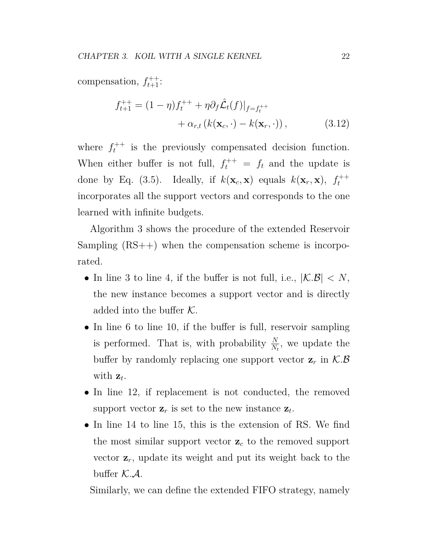compensation,  $f_{t+1}^{++}$ :

$$
f_{t+1}^{++} = (1 - \eta)f_t^{++} + \eta \partial_f \hat{\mathcal{L}}_t(f)|_{f = f_t^{++}} + \alpha_{r,t} (k(\mathbf{x}_c, \cdot) - k(\mathbf{x}_r, \cdot)),
$$
(3.12)

where  $f_t^{++}$  $t^{++}$  is the previously compensated decision function. When either buffer is not full,  $f_t^{++} = f_t$  and the update is done by Eq. (3.5). Ideally, if  $k(\mathbf{x}_c, \mathbf{x})$  equals  $k(\mathbf{x}_r, \mathbf{x})$ ,  $f_t^{++}$ *t* incorporates all the support vectors and corresponds to the one learned with infinite budgets.

Algorithm 3 shows the procedure of the extended Reservoir Sampling (RS++) when the compensation scheme is incorporated.

- In line 3 to line 4, if the buffer is not full, i.e.,  $|K.B|$  < N, the new instance becomes a support vector and is directly added into the buffer *K*.
- In line 6 to line 10, if the buffer is full, reservoir sampling is performed. That is, with probability  $\frac{N}{N_t}$ , we update the buffer by randomly replacing one support vector  $z_r$  in  $K.B$ with **z***<sup>t</sup>* .
- In line 12, if replacement is not conducted, the removed support vector  $z_r$  is set to the new instance  $z_t$ .
- In line 14 to line 15, this is the extension of RS. We find the most similar support vector  $\mathbf{z}_c$  to the removed support vector **z***r*, update its weight and put its weight back to the buffer  $K.A$ .

Similarly, we can define the extended FIFO strategy, namely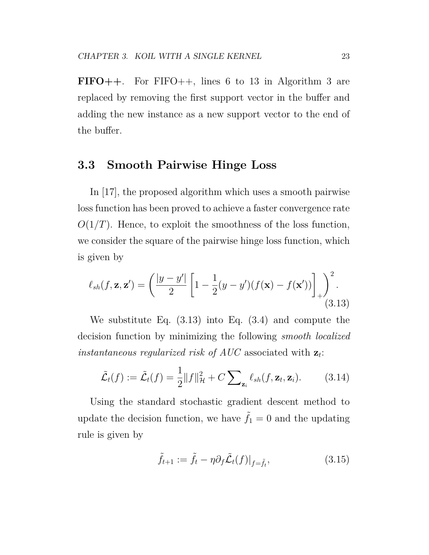**FIFO++**. For FIFO++, lines 6 to 13 in Algorithm 3 are replaced by removing the first support vector in the buffer and adding the new instance as a new support vector to the end of the buffer.

### **3.3 Smooth Pairwise Hinge Loss**

In [17], the proposed algorithm which uses a smooth pairwise loss function has been proved to achieve a faster convergence rate  $O(1/T)$ . Hence, to exploit the smoothness of the loss function, we consider the square of the pairwise hinge loss function, which is given by

$$
\ell_{sh}(f, \mathbf{z}, \mathbf{z}') = \left(\frac{|y - y'|}{2}\left[1 - \frac{1}{2}(y - y')(f(\mathbf{x}) - f(\mathbf{x}'))\right]_{+}\right)^2.
$$
\n(3.13)

We substitute Eq. (3.13) into Eq. (3.4) and compute the decision function by minimizing the following *smooth localized instantaneous regularized risk of AUC* associated with **z***<sup>t</sup>* :

$$
\tilde{\mathcal{L}}_t(f) := \tilde{\mathcal{L}}_t(f) = \frac{1}{2} ||f||_{\mathcal{H}}^2 + C \sum_{\mathbf{z}_i} \ell_{sh}(f, \mathbf{z}_t, \mathbf{z}_i).
$$
 (3.14)

Using the standard stochastic gradient descent method to update the decision function, we have  $\tilde{f}_1 = 0$  and the updating rule is given by

$$
\tilde{f}_{t+1} := \tilde{f}_t - \eta \partial_f \tilde{\mathcal{L}}_t(f)|_{f = \tilde{f}_t},\tag{3.15}
$$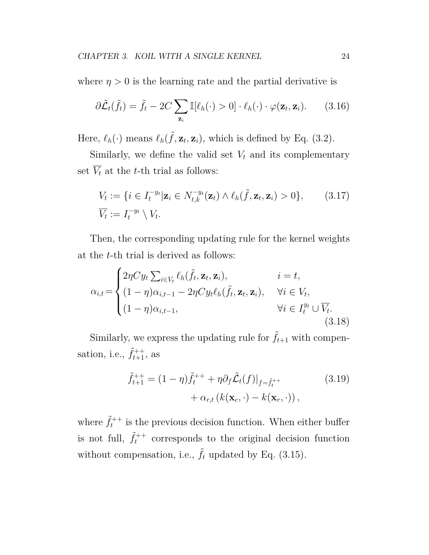where  $\eta > 0$  is the learning rate and the partial derivative is

$$
\partial \tilde{\mathcal{L}}_t(\tilde{f}_t) = \tilde{f}_t - 2C \sum_{\mathbf{z}_i} \mathbb{I}[\ell_h(\cdot) > 0] \cdot \ell_h(\cdot) \cdot \varphi(\mathbf{z}_t, \mathbf{z}_i). \tag{3.16}
$$

Here,  $\ell_h(\cdot)$  means  $\ell_h(\tilde{f}, \mathbf{z}_t, \mathbf{z}_i)$ , which is defined by Eq. (3.2).

Similarly, we define the valid set  $V_t$  and its complementary set  $\overline{V_t}$  at the *t*-th trial as follows:

$$
V_t := \{ i \in I_t^{-y_t} | \mathbf{z}_i \in N_{t,k}^{-y_t}(\mathbf{z}_t) \wedge \ell_h(\tilde{f}, \mathbf{z}_t, \mathbf{z}_i) > 0 \}, \qquad (3.17)
$$
  

$$
\overline{V_t} := I_t^{-y_t} \setminus V_t.
$$

Then, the corresponding updating rule for the kernel weights at the *t*-th trial is derived as follows:

$$
\alpha_{i,t} = \begin{cases}\n2\eta C y_t \sum_{i \in V_t} \ell_h(\tilde{f}_t, \mathbf{z}_t, \mathbf{z}_i), & i = t, \\
(1 - \eta)\alpha_{i,t-1} - 2\eta C y_t \ell_h(\tilde{f}_t, \mathbf{z}_t, \mathbf{z}_i), & \forall i \in V_t, \\
(1 - \eta)\alpha_{i,t-1}, & \forall i \in I_t^{y_t} \cup \overline{V}_t.\n\end{cases}
$$
\n(3.18)

Similarly, we express the updating rule for  $\tilde{f}_{t+1}$  with compensation, i.e.,  $\tilde{f}_{t+1}^{++}$ , as

$$
\tilde{f}_{t+1}^{++} = (1 - \eta)\tilde{f}_t^{++} + \eta \partial_f \tilde{\mathcal{L}}_t(f)|_{f = \tilde{f}_t^{++}}
$$
\n
$$
+ \alpha_{r,t} (k(\mathbf{x}_c, \cdot) - k(\mathbf{x}_r, \cdot)),
$$
\n(3.19)

where  $\tilde{f}_t^{++}$  $t^{++}$  is the previous decision function. When either buffer is not full,  $\tilde{f}_t^{++}$ *t* corresponds to the original decision function without compensation, i.e.,  $\tilde{f}_t$  updated by Eq. (3.15).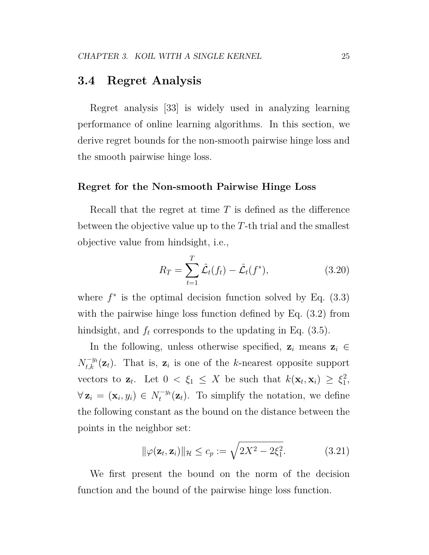#### **3.4 Regret Analysis**

Regret analysis [33] is widely used in analyzing learning performance of online learning algorithms. In this section, we derive regret bounds for the non-smooth pairwise hinge loss and the smooth pairwise hinge loss.

#### **Regret for the Non-smooth Pairwise Hinge Loss**

Recall that the regret at time *T* is defined as the difference between the objective value up to the *T*-th trial and the smallest objective value from hindsight, i.e.,

$$
R_T = \sum_{t=1}^T \hat{\mathcal{L}}_t(f_t) - \hat{\mathcal{L}}_t(f^*),
$$
\n(3.20)

where  $f^*$  is the optimal decision function solved by Eq.  $(3.3)$ with the pairwise hinge loss function defined by Eq.  $(3.2)$  from hindsight, and  $f_t$  corresponds to the updating in Eq. (3.5).

In the following, unless otherwise specified,  $z_i$  means  $z_i \in$  $N_{t,k}^{-y_t}(\mathbf{z}_t)$ . That is,  $\mathbf{z}_i$  is one of the *k*-nearest opposite support vectors to  $\mathbf{z}_t$ . Let  $0 < \xi_1 \leq X$  be such that  $k(\mathbf{x}_t, \mathbf{x}_i) \geq \xi_1^2$  $\frac{2}{1}$  $\forall$  **z**<sub>*i*</sub> =  $(\mathbf{x}_i, y_i) \in N_t^{-y_i}$  $\tau_t^{-y_t}(\mathbf{z}_t)$ . To simplify the notation, we define the following constant as the bound on the distance between the points in the neighbor set:

$$
\|\varphi(\mathbf{z}_t, \mathbf{z}_i)\|_{\mathcal{H}} \le c_p := \sqrt{2X^2 - 2\xi_1^2}.
$$
 (3.21)

We first present the bound on the norm of the decision function and the bound of the pairwise hinge loss function.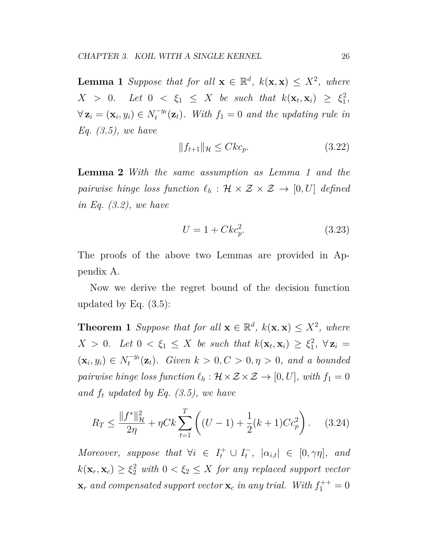**Lemma 1** *Suppose that for all*  $\mathbf{x} \in \mathbb{R}^d$ ,  $k(\mathbf{x}, \mathbf{x}) \leq X^2$ , where  $X > 0$ *. Let*  $0 < \xi_1 \leq X$  *be such that*  $k(\mathbf{x}_t, \mathbf{x}_i) \geq \xi_1^2$  $\frac{2}{1}$ ,  $\forall$  **z**<sub>*i*</sub> =  $(\mathbf{x}_i, y_i) \in N_t^{-y_i}$  $t_t^{-y_t}(\mathbf{z}_t)$ . With  $f_1 = 0$  and the updating rule in *Eq. (3.5), we have*

$$
||f_{t+1}||_{\mathcal{H}} \leq Ck c_p. \tag{3.22}
$$

**Lemma 2** *With the same assumption as Lemma 1 and the pairwise hinge loss function*  $\ell_h : \mathcal{H} \times \mathcal{Z} \times \mathcal{Z} \rightarrow [0, U]$  *defined in Eq. (3.2), we have*

$$
U = 1 + Ckc_p^2.
$$
\n
$$
(3.23)
$$

The proofs of the above two Lemmas are provided in Appendix A.

Now we derive the regret bound of the decision function updated by Eq.  $(3.5)$ :

**Theorem 1** *Suppose that for all*  $\mathbf{x} \in \mathbb{R}^d$ ,  $k(\mathbf{x}, \mathbf{x}) \leq X^2$ , where  $X > 0$ *. Let*  $0 < \xi_1 \leq X$  *be such that*  $k(\mathbf{x}_t, \mathbf{x}_i) \geq \xi_1^2$  $\frac{2}{1}$ , ∀**z**<sub>*i*</sub> =  $(\mathbf{x}_i, y_i) \in N_t^{-y_i}$  $\int_t^{-y_t} (\mathbf{z}_t)$ *.* Given  $k > 0, C > 0, \eta > 0$ *, and a bounded pairwise hinge loss function*  $\ell_h : \mathcal{H} \times \mathcal{Z} \times \mathcal{Z} \rightarrow [0, U]$ *, with*  $f_1 = 0$ *and f<sup>t</sup> updated by Eq. (3.5), we have*

$$
R_T \le \frac{\|f^*\|_{\mathcal{H}}^2}{2\eta} + \eta C k \sum_{t=1}^T \left( (U - 1) + \frac{1}{2}(k+1)C c_p^2 \right). \tag{3.24}
$$

*Moreover, suppose that*  $\forall i \in I_t^+ \cup I_t^ \begin{array}{ll} \n\tau, & \left| \alpha_{i,t} \right| & \in [0, \gamma \eta], \quad and \n\end{array}$  $k(\mathbf{x}_r, \mathbf{x}_c) \geq \xi_2^2$  *with*  $0 < \xi_2 \leq X$  *for any replaced support vector*  $\mathbf{x}_r$  and compensated support vector  $\mathbf{x}_c$  *in any trial.* With  $f_1^{++} = 0$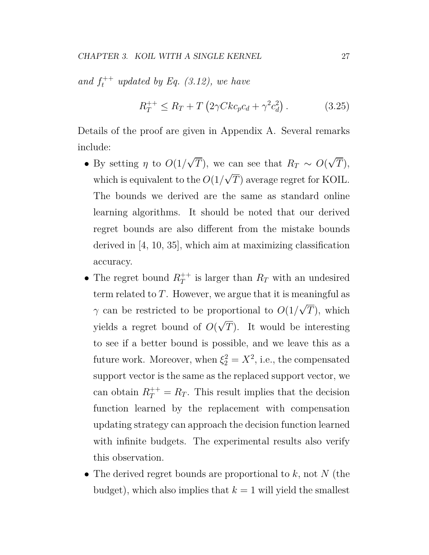and  $f_t^{++}$  *updated by Eq. (3.12), we have* 

$$
R_T^{++} \le R_T + T \left( 2\gamma C k c_p c_d + \gamma^2 c_d^2 \right). \tag{3.25}
$$

Details of the proof are given in Appendix A. Several remarks include:

- By setting *η* to  $O(1/\sqrt{T})$ , we can see that  $R_T \sim O($ *√ T*), which is equivalent to the  $O(1/\sqrt{T})$  average regret for KOIL. The bounds we derived are the same as standard online learning algorithms. It should be noted that our derived regret bounds are also different from the mistake bounds derived in [4, 10, 35], which aim at maximizing classification accuracy.
- The regret bound  $R_T^+$  $T^+$  is larger than  $R_T$  with an undesired term related to *T*. However, we argue that it is meaningful as *γ* can be restricted to be proportional to  $O(1/\sqrt{T})$ , which yields a regret bound of *O*( *√ T*). It would be interesting to see if a better bound is possible, and we leave this as a future work. Moreover, when  $\xi_2^2 = X^2$ , i.e., the compensated support vector is the same as the replaced support vector, we can obtain  $R_T^{++} = R_T$ . This result implies that the decision function learned by the replacement with compensation updating strategy can approach the decision function learned with infinite budgets. The experimental results also verify this observation.
- *•* The derived regret bounds are proportional to *k*, not *N* (the budget), which also implies that  $k = 1$  will yield the smallest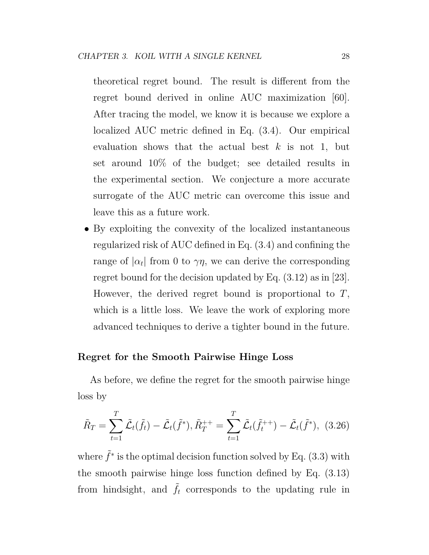theoretical regret bound. The result is different from the regret bound derived in online AUC maximization [60]. After tracing the model, we know it is because we explore a localized AUC metric defined in Eq. (3.4). Our empirical evaluation shows that the actual best *k* is not 1, but set around 10% of the budget; see detailed results in the experimental section. We conjecture a more accurate surrogate of the AUC metric can overcome this issue and leave this as a future work.

• By exploiting the convexity of the localized instantaneous regularized risk of AUC defined in Eq. (3.4) and confining the range of  $|\alpha_t|$  from 0 to  $\gamma\eta$ , we can derive the corresponding regret bound for the decision updated by Eq. (3.12) as in [23]. However, the derived regret bound is proportional to *T*, which is a little loss. We leave the work of exploring more advanced techniques to derive a tighter bound in the future.

#### **Regret for the Smooth Pairwise Hinge Loss**

As before, we define the regret for the smooth pairwise hinge loss by

$$
\tilde{R}_T = \sum_{t=1}^T \tilde{\mathcal{L}}_t(\tilde{f}_t) - \tilde{\mathcal{L}}_t(\tilde{f}^*), \tilde{R}_T^{++} = \sum_{t=1}^T \tilde{\mathcal{L}}_t(\tilde{f}_t^{++}) - \tilde{\mathcal{L}}_t(\tilde{f}^*), \tag{3.26}
$$

where  $\tilde{f}^*$  is the optimal decision function solved by Eq. (3.3) with the smooth pairwise hinge loss function defined by Eq. (3.13) from hindsight, and  $\tilde{f}_t$  corresponds to the updating rule in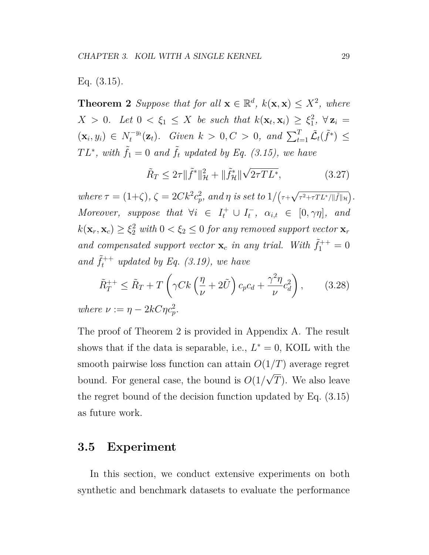Eq. (3.15).

**Theorem 2** *Suppose that for all*  $\mathbf{x} \in \mathbb{R}^d$ ,  $k(\mathbf{x}, \mathbf{x}) \leq X^2$ , where  $X > 0$ *. Let*  $0 < \xi_1 \leq X$  *be such that*  $k(\mathbf{x}_t, \mathbf{x}_i) \geq \xi_1^2$  $\frac{2}{1}$ *,* ∀**z**<sub>*i*</sub> =  $(\mathbf{x}_i, y_i) \in N_t^{-y_i}$  $\int_{t}^{-y_{t}} (\mathbf{z}_{t})$ *. Given*  $k > 0, C > 0$ *, and*  $\sum_{t=1}^{T} \tilde{\mathcal{L}}_{t}(\tilde{f}^{*}) \leq$  $TL^*$ , with  $\tilde{f}_1 = 0$  and  $\tilde{f}_t$  *updated by Eq. (3.15)*, we have

$$
\tilde{R}_T \le 2\tau \|\tilde{f}^*\|_{\mathcal{H}}^2 + \|\tilde{f}^*_\mathcal{H}\|\sqrt{2\tau T L^*},\tag{3.27}
$$

 $where \tau = (1+\zeta), \zeta = 2Ck^2c_p^2$  $_{p}^{2},\ and\ \eta\ is\ set\ to\ 1/(\tau +$ *√ τ* <sup>2</sup>+*τT L∗*/*∥* ˜*f∥<sup>H</sup>* ) *. Moreover, suppose that*  $\forall i \in I_t^+ \cup I_t^ \sigma_t^-, \alpha_{i,t} \in [0, \gamma \eta], \text{ and}$  $k(\mathbf{x}_r, \mathbf{x}_c) \geq \xi_2^2$  *with*  $0 < \xi_2 \leq 0$  *for any removed support vector*  $\mathbf{x}_r$ and compensated support vector  $\mathbf{x}_c$  in any trial. With  $\tilde{f}_1^{++} = 0$ and  $\tilde{f}_t^{++}$  *updated by Eq. (3.19), we have* 

$$
\tilde{R}_T^{++} \le \tilde{R}_T + T\left(\gamma Ck\left(\frac{\eta}{\nu} + 2\tilde{U}\right)c_p c_d + \frac{\gamma^2 \eta}{\nu} c_d^2\right),\tag{3.28}
$$

*where*  $\nu := \eta - 2kC\eta c_p^2$ .

The proof of Theorem 2 is provided in Appendix A. The result shows that if the data is separable, i.e.,  $L^* = 0$ , KOIL with the smooth pairwise loss function can attain  $O(1/T)$  average regret bound. For general case, the bound is  $O(1/\sqrt{T})$ . We also leave the regret bound of the decision function updated by Eq. (3.15) as future work.

#### **3.5 Experiment**

In this section, we conduct extensive experiments on both synthetic and benchmark datasets to evaluate the performance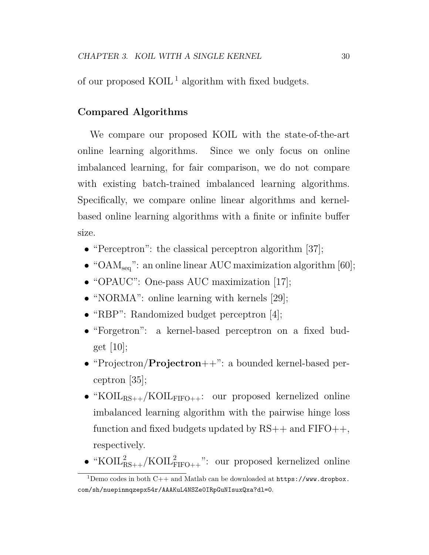of our proposed  $KOIL<sup>1</sup>$  algorithm with fixed budgets.

#### **Compared Algorithms**

We compare our proposed KOIL with the state-of-the-art online learning algorithms. Since we only focus on online imbalanced learning, for fair comparison, we do not compare with existing batch-trained imbalanced learning algorithms. Specifically, we compare online linear algorithms and kernelbased online learning algorithms with a finite or infinite buffer size.

- "Perceptron": the classical perceptron algorithm [37];
- "OAM<sub>seq</sub>": an online linear AUC maximization algorithm [60];
- "OPAUC": One-pass AUC maximization [17];
- "NORMA": online learning with kernels [29];
- "RBP": Randomized budget perceptron [4];
- "Forgetron": a kernel-based perceptron on a fixed budget  $[10]$ ;
- *•* "Projectron/**Projectron**++": a bounded kernel-based perceptron [35];
- "KOIL<sub>RS++</sub>/KOIL<sub>FIFO++</sub>: our proposed kernelized online imbalanced learning algorithm with the pairwise hinge loss function and fixed budgets updated by  $RS++$  and  $FIFO++,$ respectively.
- " $KOIL_{RS++}^2/KOIL_{FIFO++}^2$ ": our proposed kernelized online

<sup>&</sup>lt;sup>1</sup>Demo codes in both C++ and Matlab can be downloaded at  $https://www.dropbox.$ com/sh/nuepinmqzepx54r/AAAKuL4NSZe0IRpGuNIsuxQxa?dl=0.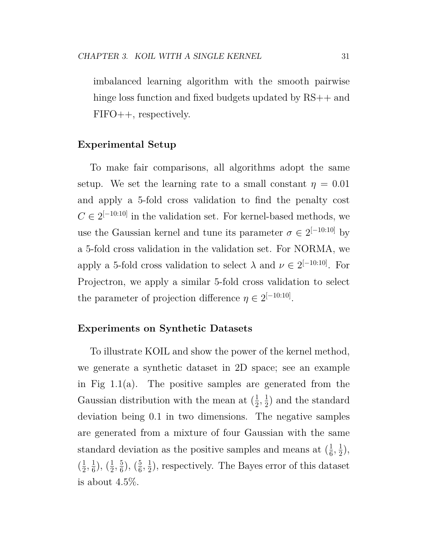imbalanced learning algorithm with the smooth pairwise hinge loss function and fixed budgets updated by RS++ and FIFO++, respectively.

#### **Experimental Setup**

To make fair comparisons, all algorithms adopt the same setup. We set the learning rate to a small constant  $\eta = 0.01$ and apply a 5-fold cross validation to find the penalty cost  $C \in 2^{[-10:10]}$  in the validation set. For kernel-based methods, we use the Gaussian kernel and tune its parameter  $\sigma \in 2^{[-10:10]}$  by a 5-fold cross validation in the validation set. For NORMA, we apply a 5-fold cross validation to select  $\lambda$  and  $\nu \in 2^{[-10:10]}$ . For Projectron, we apply a similar 5-fold cross validation to select the parameter of projection difference  $\eta \in 2^{[-10:10]}$ .

#### **Experiments on Synthetic Datasets**

To illustrate KOIL and show the power of the kernel method, we generate a synthetic dataset in 2D space; see an example in Fig 1.1(a). The positive samples are generated from the Gaussian distribution with the mean at  $(\frac{1}{2})$  $\frac{1}{2}, \frac{1}{2}$  $\frac{1}{2}$ ) and the standard deviation being 0.1 in two dimensions. The negative samples are generated from a mixture of four Gaussian with the same standard deviation as the positive samples and means at  $(\frac{1}{6})$  $\frac{1}{6}, \frac{1}{2}$  $(\frac{1}{2}),$  $\left(\frac{1}{2}\right)$  $\frac{1}{2}, \frac{1}{6}$  $(\frac{1}{6}), (\frac{1}{2})$  $\frac{1}{2}$ ,  $\frac{5}{6}$  $(\frac{5}{6}), (\frac{5}{6})$  $\frac{5}{6}, \frac{1}{2}$  $\frac{1}{2}$ , respectively. The Bayes error of this dataset is about 4.5%.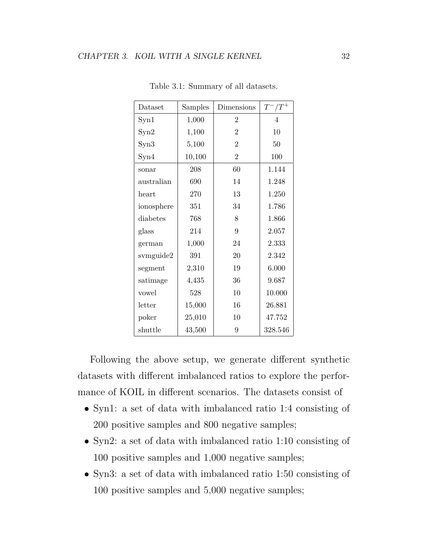| Dataset    | Samples | Dimensions     | $T^-/T^+$      |
|------------|---------|----------------|----------------|
| Syn1       | 1,000   | $\overline{2}$ | $\overline{4}$ |
| Syn2       | 1,100   | $\overline{2}$ | 10             |
| Syn3       | 5,100   | $\overline{2}$ | 50             |
| Syn4       | 10,100  | $\overline{2}$ | 100            |
| sonar      | 208     | 60             | 1.144          |
| australian | 690     | 14             | 1.248          |
| heart      | 270     | 13             | 1.250          |
| ionosphere | 351     | 34             | 1.786          |
| diabetes   | 768     | 8              | 1.866          |
| glass      | 214     | 9              | 2.057          |
| german     | 1,000   | 24             | 2.333          |
| svmguide2  | 391     | 20             | 2.342          |
| segment    | 2,310   | 19             | 6.000          |
| satimage   | 4,435   | 36             | 9.687          |
| vowel      | 528     | 10             | 10.000         |
| letter     | 15,000  | 16             | 26.881         |
| poker      | 25,010  | 10             | 47.752         |
| shuttle    | 43,500  | 9              | 328.546        |

Table 3.1: Summary of all datasets.

Following the above setup, we generate different synthetic datasets with different imbalanced ratios to explore the performance of KOIL in different scenarios. The datasets consist of

- *•* Syn1: a set of data with imbalanced ratio 1:4 consisting of 200 positive samples and 800 negative samples;
- *•* Syn2: a set of data with imbalanced ratio 1:10 consisting of 100 positive samples and 1,000 negative samples;
- *•* Syn3: a set of data with imbalanced ratio 1:50 consisting of 100 positive samples and 5,000 negative samples;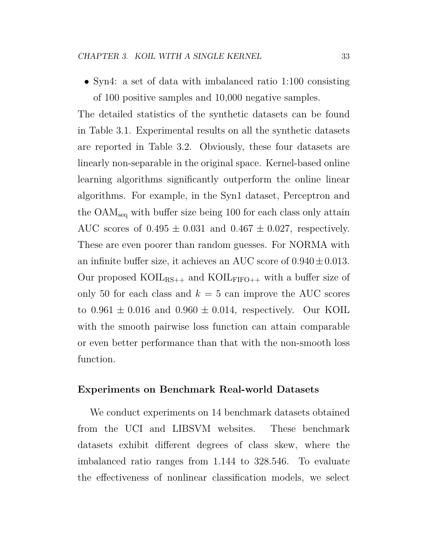*•* Syn4: a set of data with imbalanced ratio 1:100 consisting of 100 positive samples and 10,000 negative samples.

The detailed statistics of the synthetic datasets can be found in Table 3.1. Experimental results on all the synthetic datasets are reported in Table 3.2. Obviously, these four datasets are linearly non-separable in the original space. Kernel-based online learning algorithms significantly outperform the online linear algorithms. For example, in the Syn1 dataset, Perceptron and the OAMseq with buffer size being 100 for each class only attain AUC scores of  $0.495 \pm 0.031$  and  $0.467 \pm 0.027$ , respectively. These are even poorer than random guesses. For NORMA with an infinite buffer size, it achieves an AUC score of 0*.*940*±*0*.*013. Our proposed KOIL<sub>RS++</sub> and KOIL<sub>FIFO++</sub> with a buffer size of only 50 for each class and  $k = 5$  can improve the AUC scores to  $0.961 \pm 0.016$  and  $0.960 \pm 0.014$ , respectively. Our KOIL with the smooth pairwise loss function can attain comparable or even better performance than that with the non-smooth loss function.

#### **Experiments on Benchmark Real-world Datasets**

We conduct experiments on 14 benchmark datasets obtained from the UCI and LIBSVM websites. These benchmark datasets exhibit different degrees of class skew, where the imbalanced ratio ranges from 1.144 to 328.546. To evaluate the effectiveness of nonlinear classification models, we select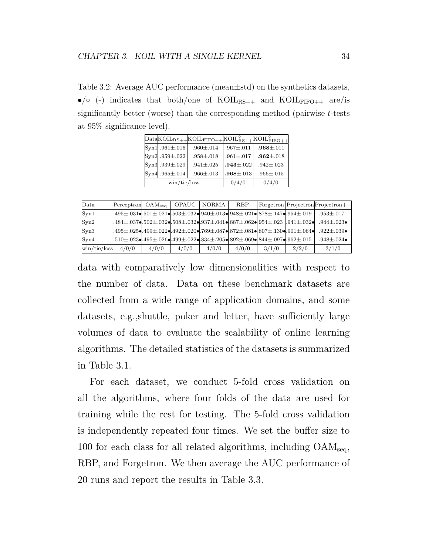Table 3.2: Average AUC performance (mean*±*std) on the synthetics datasets,  $\bullet$ / $\circ$  (-) indicates that both/one of KOIL<sub>RS++</sub> and KOIL<sub>FIFO++</sub> are/is significantly better (worse) than the corresponding method (pairwise *t*-tests at 95% significance level).

|                                       | $\text{Data} \times \text{OIL}_{\text{RS}++} \times \text{OIL}_{\text{FIFO}++} \times \text{OIL}_{\text{RS}++}^2 \times \text{OIL}_{\text{FIFO}++}^2$ |                   |                   |
|---------------------------------------|-------------------------------------------------------------------------------------------------------------------------------------------------------|-------------------|-------------------|
| $\vert Syn1 \vert .961 \pm .016$      | $.960 \pm .014$                                                                                                                                       | $.967 \pm .011$   | $.968 {\pm} .011$ |
| $\text{Syn2}$ .959±.022               | $.958 {\pm} .018$                                                                                                                                     | $.961 {\pm} .017$ | $.962 \pm .018$   |
| $\text{Syn3}$ .939±.029               | $.941 \pm .025$                                                                                                                                       | $.943 \pm .022$   | $.942 \pm .023$   |
| $Syn4.965 \pm .014$                   | $.966 \pm .013$                                                                                                                                       | $.968 \pm .013$   | $.966 \pm .015$   |
| $\frac{\text{win}}{\text{tie}}$ /loss |                                                                                                                                                       | 0/4/0             | 0/4/0             |

| Data                                                                | $Perceptron$ OAM <sub>seq</sub> |       | OPAUC | NORMA | <b>RBP</b>                                                                                                                                                                       |       |       | $\text{Forgetron}$ Projectron Projectron + + |
|---------------------------------------------------------------------|---------------------------------|-------|-------|-------|----------------------------------------------------------------------------------------------------------------------------------------------------------------------------------|-------|-------|----------------------------------------------|
| Syn1                                                                |                                 |       |       |       | $1.495 \pm .031$ of $501 \pm .021$ of $503 \pm .032$ of $940 \pm .013$ of $948 \pm .021$ of $878 \pm .147$ of $954 \pm .019$                                                     |       |       | $.953 {\pm} .017$                            |
| Syn2                                                                |                                 |       |       |       | .484 $\pm$ .037 $\bullet$ .502 $\pm$ .032 $\bullet$ .508 $\pm$ .032 $\bullet$ .937 $\pm$ .041 $\bullet$ .887 $\pm$ .062 $\bullet$ .954 $\pm$ .023 $\,$ .941 $\pm$ .032 $\bullet$ |       |       | $.944 \pm .023 \bullet$                      |
| Syn3                                                                |                                 |       |       |       | $1.495 \pm .025$ o $1.499 \pm .022$ o $1.492 \pm .020$ or $769 \pm .087$ or $872 \pm .081$ or $807 \pm .130$ or $901 \pm .064$ or                                                |       |       | $.922 + .039 \bullet$                        |
| Syn4                                                                |                                 |       |       |       | .510±.023 $\bullet$ .495±.026 $\bullet$ .499±.022 $\bullet$ .834±.205 $\bullet$ .892±.069 $\bullet$ .844±.097 $\bullet$ .962±.015                                                |       |       | $.948 + .024 \bullet$                        |
| $\frac{\text{win}}{\text{tie}}$ / $\frac{\text{loss}}{\text{loss}}$ | 4/0/0                           | 4/0/0 | 4/0/0 | 4/0/0 | 4/0/0                                                                                                                                                                            | 3/1/0 | 2/2/0 | 3/1/0                                        |

data with comparatively low dimensionalities with respect to the number of data. Data on these benchmark datasets are collected from a wide range of application domains, and some datasets, e.g.,shuttle, poker and letter, have sufficiently large volumes of data to evaluate the scalability of online learning algorithms. The detailed statistics of the datasets is summarized in Table 3.1.

For each dataset, we conduct 5-fold cross validation on all the algorithms, where four folds of the data are used for training while the rest for testing. The 5-fold cross validation is independently repeated four times. We set the buffer size to 100 for each class for all related algorithms, including  $\text{OAM}_{\text{seq}}$ , RBP, and Forgetron. We then average the AUC performance of 20 runs and report the results in Table 3.3.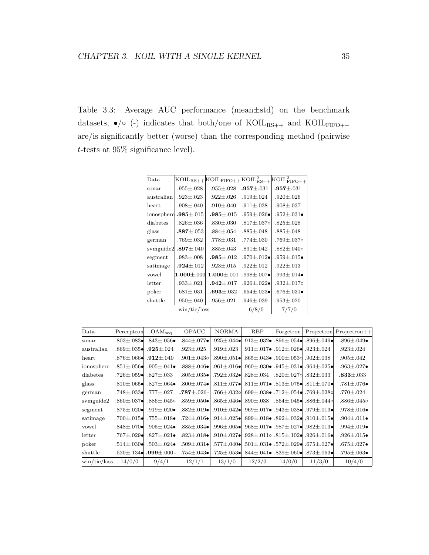Table 3.3: Average AUC performance (mean*±*std) on the benchmark datasets,  $\bullet$ / $\circ$  (-) indicates that both/one of KOIL<sub>RS++</sub> and KOIL<sub>FIFO++</sub> are/is significantly better (worse) than the corresponding method (pairwise *t*-tests at 95% significance level).

| Data                  |                                       | $K OIL_{RS++}$ $K OIL_{FIFO++}$ | $K OIL_{RS++}^2$          | $_{\rm KOIL_{\rm FIFO++}^{2}}$ |
|-----------------------|---------------------------------------|---------------------------------|---------------------------|--------------------------------|
| sonar                 | $.955 \pm .028$                       | $.955 \pm .028$                 | $.957 \pm .031$           | $.957 \pm .031$                |
| australian            | $.923 \pm .023$                       | $.922 \pm .026$                 | $.919 \pm .024$           | $.920 \pm .026$                |
| lheart                | $.908 \pm .040$                       | $.910 \pm .040$                 | $.911 \pm .038$           | $.908 \pm .037$                |
| ionosphere            | $.985 {\pm} .015$                     | $.985 \pm .015$                 | $.959 \pm .026 \bullet$   | $.952 \pm .031 \bullet$        |
| diabetes              | $.826 {\pm} .036$                     | $.830 \pm .030$                 | $.817 {\pm} .037$ o       | $.825 \pm .028$                |
| glass                 | $.887 {\pm} .053$                     | $.884 {\pm} .054$               | $.885 \pm .048$           | $.885 \pm .048$                |
| german                | $.769 {\pm} .032$                     | $.778 \pm .031$                 | $.774 {\pm} .030$         | $.769 {\pm} .037$ o            |
| svmguide2             | $.897 \pm .040$                       | $.885 \pm .043$                 | $.891 {\pm} .042$         | $.882 + .0400$                 |
| segment               | $.983 \pm .008$                       | $.985 \pm .012$                 | .970 $\pm$ .012 $\bullet$ | $.959 \pm .015 \bullet$        |
| satimage              | $.924 + .012$                         | $.923 + .015$                   | $.922 \pm .012$           | $.922 \pm .013$                |
| vowel                 | $1.000 {\pm} .000$                    | $1.000 \pm .001$                | .998±.007•                | $.993 + .014 \bullet$          |
| $_{\rm letter}$       | $.933 {\pm} .021$                     | $.942 + .017$                   | .926 $\pm$ .022 $\bullet$ | .932 $\pm$ .017 $\circ$        |
| $\mathop{\rm{poker}}$ | $.681 {\pm} .031$                     | $.693 \pm .032$                 | $.654 \pm .023 \bullet$   | $.676 \pm .031 \bullet$        |
| $\rm shuttle$         | $.950 \pm .040$                       | $.956 \pm .021$                 | $.946 \pm .039$           | $.953 \pm .020$                |
|                       | $\frac{\text{win}}{\text{tie}}$ /loss | 6/8/0                           | 7/7/0                     |                                |

| Data                                                                | Perceptron                | OAM <sub>sea</sub>                        | <b>OPAUC</b>                   | <b>NORMA</b>                                                                                            | RBP                                                                                         | Forgetron                                         |                       | Projectron Projectron++   |
|---------------------------------------------------------------------|---------------------------|-------------------------------------------|--------------------------------|---------------------------------------------------------------------------------------------------------|---------------------------------------------------------------------------------------------|---------------------------------------------------|-----------------------|---------------------------|
| sonar                                                               | $.803 \pm .083 \bullet$   | $.843\pm.056\bullet$                      | $.844{\pm}.077\bullet$         |                                                                                                         | .925±.044● .913±.032● .896±.054● .896±.049●                                                 |                                                   |                       | $.896 \pm .049 \bullet$   |
| australian                                                          |                           | .869 $\pm$ .035• .925 $\pm$ .024          | $.923 {\pm} .025$              | $.919 {\pm} .023$                                                                                       |                                                                                             | .911±.017 $\bullet$ .912±.026 $\bullet$ .923±.024 |                       | $.923 {\pm} .024$         |
| heart                                                               |                           | .876±.066⊷ .912±.040                      | $.901 {\pm} .043$ o            |                                                                                                         | .890 $\pm$ .051 $\bullet$ .865 $\pm$ .043 $\bullet$ .900 $\pm$ .053 $\circ$ .902 $\pm$ .038 |                                                   |                       | $.905 {\pm} .042$         |
| ionosphere                                                          | $.851 {\pm} .056$ el      | $.905 \pm .041 \bullet$                   | $.888 {\pm} .046 \bullet$ l    |                                                                                                         | .961±.016 $\bullet$ .960±.030 $\bullet$ .945±.031 $\bullet$ .964±.025 $\bullet$             |                                                   |                       | $.963 \pm .027 \bullet$   |
| diabetes                                                            | .726 $\pm$ .059 $\bullet$ | $.827 {\pm} .033$                         | $.805 {\pm} .035 \bullet$      |                                                                                                         | .792±.032● .828±.034                                                                        | $.820 {\pm} .027$ ol                              | $.832 {\pm} .033$     | $.833 {\pm} .033$         |
| glass                                                               | $.810{\pm}.065\bullet$    | $.827 \pm .064 \bullet$                   | $.800 {\pm} .074 \bullet$      |                                                                                                         | .811±.077• .811±.071• .813±.075• .811±.070•                                                 |                                                   |                       | $.781 {\pm} .076 \bullet$ |
| german                                                              | $.748 {\pm} .033$ el      | $.777 {\pm} .027$                         | $.787 {\pm} .026$ -            |                                                                                                         | اہ1280.±699. ا∎053.4. 12±054. اق139.±699. اہ263.                                            |                                                   |                       | $.770 {\pm} .024$         |
| svmguide2                                                           | $.860 \pm .037 \bullet$   | .886±.045∘                                | $.859 \pm .050 \bullet$        |                                                                                                         | .865 $\pm$ .046 $\bullet$ .890 $\pm$ .038                                                   |                                                   | .864±.045● .886±.044∘ | $.886 {\pm} .045$ o       |
| segment                                                             | $.875 \pm .020 \bullet$   | $.919 \pm .020 \bullet$                   | $.882 + .019 \bullet$          |                                                                                                         | .910±.042● .969±.017● .943±.038● .979±.013●                                                 |                                                   |                       | $.978 {\pm} .016 \bullet$ |
| satimage                                                            | $.700 \pm .015$ ol        | $.755 {\pm} .018 \bullet$                 |                                | .724±.016• B99±.018• B99±.025• B99±.032• B10±.016• F724±.016                                            |                                                                                             |                                                   |                       | .904±.011•                |
| vowel                                                               | $.848 {\pm} .070 \bullet$ | $.905 \pm .024 \bullet$                   | $.885 {\pm} .034 \bullet$ ${}$ |                                                                                                         | .982±.013• .987±.027• .987±.027• .982±.013•                                                 |                                                   |                       | $.994 \pm .019 \bullet$   |
| letter                                                              | .767 $\pm$ .029 $\bullet$ | $.827 \pm .021 \bullet$                   |                                | .823±.018• B23±.012+ B23±.0110.315±.102• B23±.018• B23±.018•                                            |                                                                                             |                                                   |                       | $.926 \pm .015 \bullet$   |
| poker                                                               | $.514\pm.030\bullet$      | $.503 \pm .024 \bullet$                   |                                | .509±.027 $\bullet$ , 675±.027 $\bullet$ , 572±.031 $\bullet$ , 572±.029 $\bullet$ , 675±.027 $\bullet$ |                                                                                             |                                                   |                       | $.675 \pm .027 \bullet$   |
| shuttle                                                             |                           | $.520{\pm}.134\bullet$ .999 ${\pm}.000$ - | $.754 {\pm} .043 \bullet$      |                                                                                                         | 0630.±873.  0600.±839.  061.±844.  053.  053.  053.  053.                                   |                                                   |                       | $.795 {\pm} .063 \bullet$ |
| $\frac{\text{win}}{\text{tie}}$ / $\frac{\text{loss}}{\text{loss}}$ | 14/0/0                    | 9/4/1                                     | 12/1/1                         | 13/1/0                                                                                                  | 12/2/0                                                                                      | 14/0/0                                            | 11/3/0                | 10/4/0                    |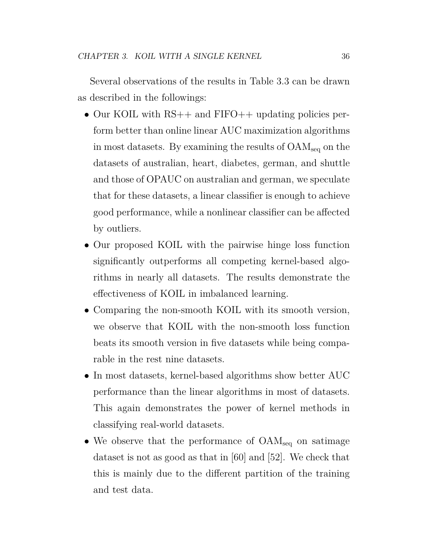Several observations of the results in Table 3.3 can be drawn as described in the followings:

- Our KOIL with RS++ and FIFO++ updating policies perform better than online linear AUC maximization algorithms in most datasets. By examining the results of OAMseq on the datasets of australian, heart, diabetes, german, and shuttle and those of OPAUC on australian and german, we speculate that for these datasets, a linear classifier is enough to achieve good performance, while a nonlinear classifier can be affected by outliers.
- Our proposed KOIL with the pairwise hinge loss function significantly outperforms all competing kernel-based algorithms in nearly all datasets. The results demonstrate the effectiveness of KOIL in imbalanced learning.
- *•* Comparing the non-smooth KOIL with its smooth version, we observe that KOIL with the non-smooth loss function beats its smooth version in five datasets while being comparable in the rest nine datasets.
- In most datasets, kernel-based algorithms show better AUC performance than the linear algorithms in most of datasets. This again demonstrates the power of kernel methods in classifying real-world datasets.
- We observe that the performance of  $\text{OAM}_{\text{seq}}$  on satimage dataset is not as good as that in [60] and [52]. We check that this is mainly due to the different partition of the training and test data.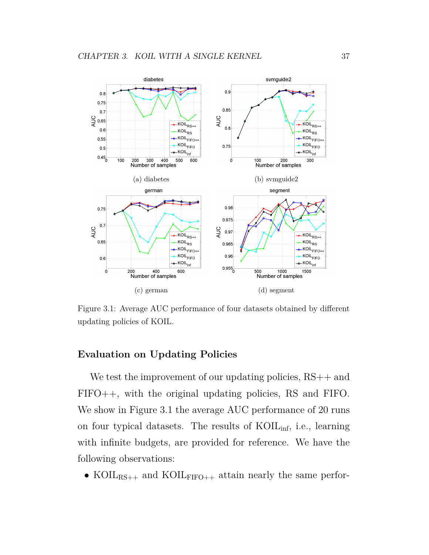

Figure 3.1: Average AUC performance of four datasets obtained by different updating policies of KOIL.

#### **Evaluation on Updating Policies**

We test the improvement of our updating policies,  $RS++$  and FIFO++, with the original updating policies, RS and FIFO. We show in Figure 3.1 the average AUC performance of 20 runs on four typical datasets. The results of KOILinf, i.e., learning with infinite budgets, are provided for reference. We have the following observations:

• KOIL<sub>RS++</sub> and KOIL<sub>FIFO++</sub> attain nearly the same perfor-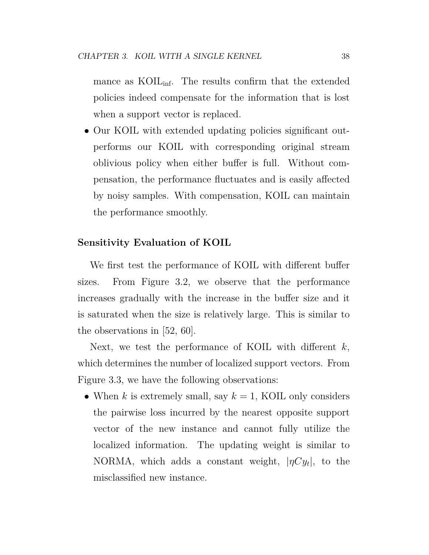mance as KOIL<sub>inf</sub>. The results confirm that the extended policies indeed compensate for the information that is lost when a support vector is replaced.

• Our KOIL with extended updating policies significant outperforms our KOIL with corresponding original stream oblivious policy when either buffer is full. Without compensation, the performance fluctuates and is easily affected by noisy samples. With compensation, KOIL can maintain the performance smoothly.

#### **Sensitivity Evaluation of KOIL**

We first test the performance of KOIL with different buffer sizes. From Figure 3.2, we observe that the performance increases gradually with the increase in the buffer size and it is saturated when the size is relatively large. This is similar to the observations in [52, 60].

Next, we test the performance of KOIL with different *k*, which determines the number of localized support vectors. From Figure 3.3, we have the following observations:

• When  $k$  is extremely small, say  $k = 1$ , KOIL only considers the pairwise loss incurred by the nearest opposite support vector of the new instance and cannot fully utilize the localized information. The updating weight is similar to NORMA, which adds a constant weight,  $|\eta Cy_t|$ , to the misclassified new instance.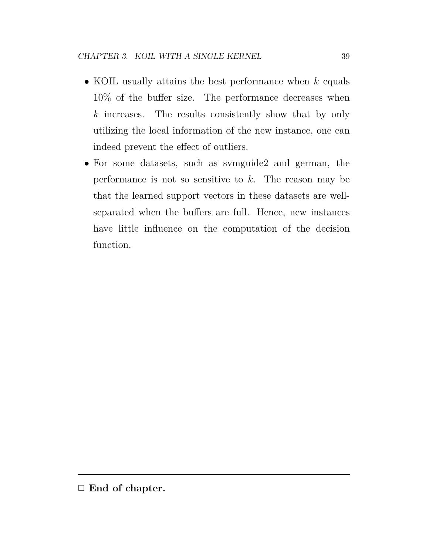- *•* KOIL usually attains the best performance when *k* equals 10% of the buffer size. The performance decreases when *k* increases. The results consistently show that by only utilizing the local information of the new instance, one can indeed prevent the effect of outliers.
- For some datasets, such as symguide2 and german, the performance is not so sensitive to *k*. The reason may be that the learned support vectors in these datasets are wellseparated when the buffers are full. Hence, new instances have little influence on the computation of the decision function.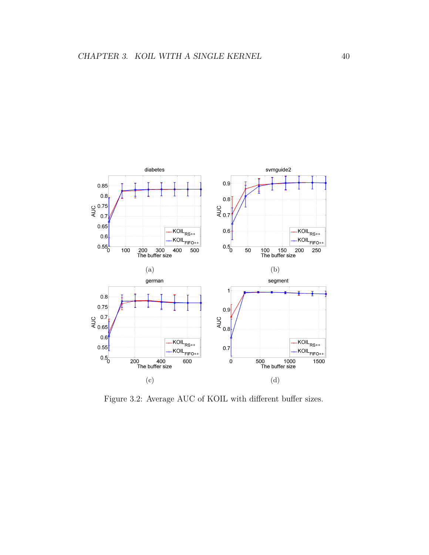

Figure 3.2: Average AUC of KOIL with different buffer sizes.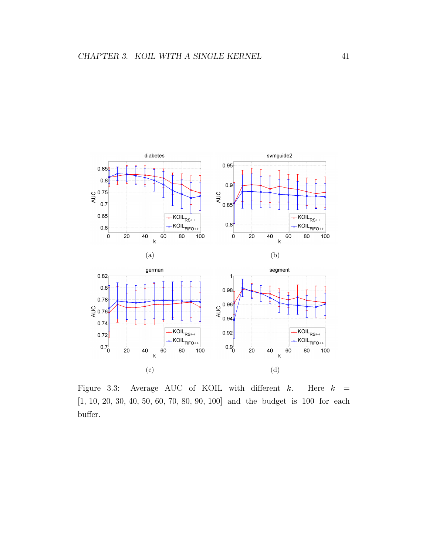

Figure 3.3: Average AUC of KOIL with different *k*. Here *k* = [1, 10, 20, 30, 40, 50, 60, 70, 80, 90, 100] and the budget is 100 for each buffer.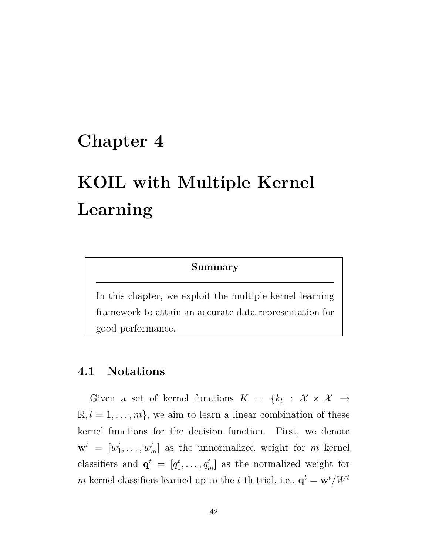## **Chapter 4**

# **KOIL with Multiple Kernel Learning**

#### **Summary**

In this chapter, we exploit the multiple kernel learning framework to attain an accurate data representation for good performance.

### **4.1 Notations**

Given a set of kernel functions  $K = \{k_l : \mathcal{X} \times \mathcal{X} \to$  $\mathbb{R}, l = 1, \ldots, m$ , we aim to learn a linear combination of these kernel functions for the decision function. First, we denote  $\mathbf{w}^t = [w_1^t]$  $\{t_1, \ldots, t_m\}$  as the unnormalized weight for *m* kernel classifiers and  $\mathbf{q}^t = [q_1^t]$  $[q_1^t, \ldots, q_m^t]$  as the normalized weight for *m* kernel classifiers learned up to the *t*-th trial, i.e.,  $\mathbf{q}^t = \mathbf{w}^t / W^t$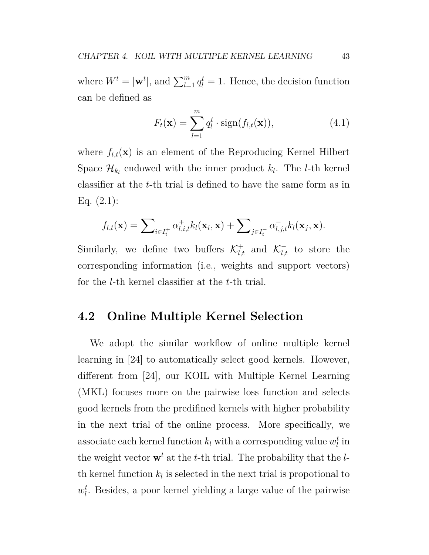where  $W^t = |\mathbf{w}^t|$ , and  $\sum_{l=1}^m q_l^t = 1$ . Hence, the decision function can be defined as

$$
F_t(\mathbf{x}) = \sum_{l=1}^{m} q_l^t \cdot \text{sign}(f_{l,t}(\mathbf{x})), \qquad (4.1)
$$

where  $f_{l,t}(\mathbf{x})$  is an element of the Reproducing Kernel Hilbert Space  $\mathcal{H}_{k_l}$  endowed with the inner product  $k_l$ . The *l*-th kernel classifier at the *t*-th trial is defined to have the same form as in Eq. (2.1):

$$
f_{l,t}(\mathbf{x}) = \sum\nolimits_{i \in I_t^+} \alpha_{l,i,t}^+ k_l(\mathbf{x}_i, \mathbf{x}) + \sum\nolimits_{j \in I_t^-} \alpha_{l,j,t}^- k_l(\mathbf{x}_j, \mathbf{x}).
$$

Similarly, we define two buffers  $\mathcal{K}^+_{l,t}$  and  $\mathcal{K}^-_{l,t}$  to store the corresponding information (i.e., weights and support vectors) for the *l*-th kernel classifier at the *t*-th trial.

### **4.2 Online Multiple Kernel Selection**

We adopt the similar workflow of online multiple kernel learning in [24] to automatically select good kernels. However, different from [24], our KOIL with Multiple Kernel Learning (MKL) focuses more on the pairwise loss function and selects good kernels from the predifined kernels with higher probability in the next trial of the online process. More specifically, we  $\alpha$  associate each kernel function  $k_l$  with a corresponding value  $w_l^t$  $_l^t$  in the weight vector  $\mathbf{w}^t$  at the *t*-th trial. The probability that the *l*th kernel function  $k_l$  is selected in the next trial is propotional to  $w_l^t$ *l* . Besides, a poor kernel yielding a large value of the pairwise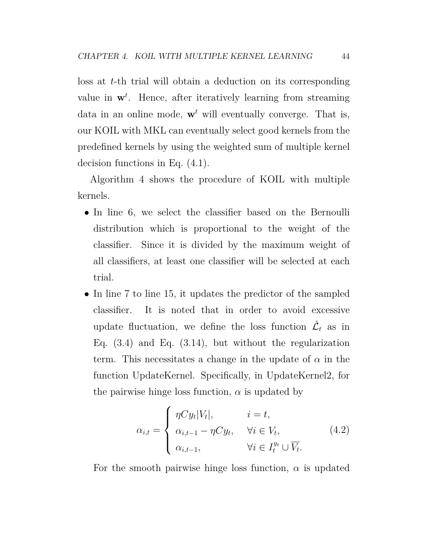loss at *t*-th trial will obtain a deduction on its corresponding value in  $\mathbf{w}^t$ . Hence, after iteratively learning from streaming data in an online mode,  $\mathbf{w}^t$  will eventually converge. That is, our KOIL with MKL can eventually select good kernels from the predefined kernels by using the weighted sum of multiple kernel decision functions in Eq. (4.1).

Algorithm 4 shows the procedure of KOIL with multiple kernels.

- In line 6, we select the classifier based on the Bernoulli distribution which is proportional to the weight of the classifier. Since it is divided by the maximum weight of all classifiers, at least one classifier will be selected at each trial.
- In line 7 to line 15, it updates the predictor of the sampled classifier. It is noted that in order to avoid excessive update fluctuation, we define the loss function  $\check{\mathcal{L}}_t$  as in Eq.  $(3.4)$  and Eq.  $(3.14)$ , but without the regularization term. This necessitates a change in the update of  $\alpha$  in the function UpdateKernel. Specifically, in UpdateKernel2, for the pairwise hinge loss function,  $\alpha$  is updated by

$$
\alpha_{i,t} = \begin{cases}\n\eta C y_t |V_t|, & i = t, \\
\alpha_{i,t-1} - \eta C y_t, & \forall i \in V_t, \\
\alpha_{i,t-1}, & \forall i \in I_t^{y_t} \cup \overline{V_t}.\n\end{cases}
$$
\n(4.2)

For the smooth pairwise hinge loss function,  $\alpha$  is updated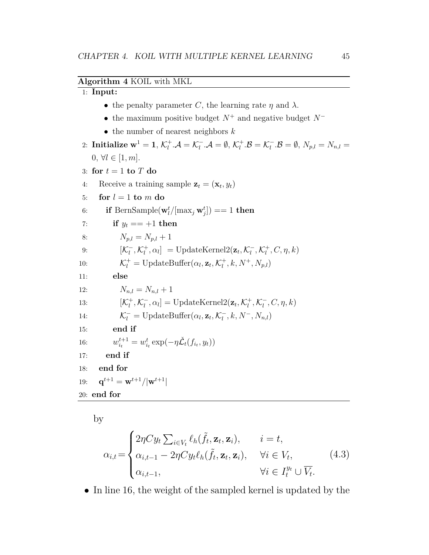#### **Algorithm 4** KOIL with MKL

#### 1: **Input:**

- the penalty parameter *C*, the learning rate  $\eta$  and  $\lambda$ .
- *•* the maximum positive budget  $N^+$  and negative budget  $N^-$
- *•* the number of nearest neighbors *k*

```
2: Initialize \mathbf{w}^1 = \mathbf{1}, \, \mathcal{K}_l^+\mathcal{L}_l^+ \cdot \mathcal{A} = \mathcal{K}_l^- \cdot \mathcal{A} = \emptyset, \, \mathcal{K}_l^+\mathcal{L}_l^+.\mathcal{B} = \mathcal{K}_l^-.\mathcal{B} = \emptyset, \ N_{p,l} = N_{n,l} = 00, \forall l \in [1, m].
 3: for t = 1 to T do
  4: Receive a training sample \mathbf{z}_t = (\mathbf{x}_t, y_t)5: for l = 1 to m do
  6: if BernSample(\mathbf{w}_l^t/[\max_j \mathbf{w}_j^t]) == 1 then
 7: if y_t == +1 then
 8: N_{p,l} = N_{p,l} + 19: \left[\mathcal{K}_l^-, \mathcal{K}_l^+\right]\left[ \frac{1}{l}, \alpha_l \right] = \text{UpdateKernel2}(\mathbf{z}_t, \mathcal{K}_l^-, \mathcal{K}_l^+)\eta^+, C, \eta, k)
10: \mathcal{K}_l^+ = \text{UpdateBuffer}(\alpha_l, \mathbf{z}_t, \mathcal{K}_l^+)\binom{+}{l}, k, N^+, N_{p,l}11: else
12: N_{n,l} = N_{n,l} + 113: [{\cal K}_l^+]\mathcal{L}_l^+, \mathcal{K}_l^-, \alpha_l] = \text{UpdateKernel2}(\mathbf{z}_t, \mathcal{K}_l^+)\mathcal{L}_l^+, \mathcal{K}_l^-, C, \eta, k)14: \mathcal{K}_l^- = \text{UpdateBuffer}(\alpha_l, \mathbf{z}_t, \mathcal{K}_l^-, k, N^-, N_{n,l})15: end if
16: w_{i_t}^{t+1} = w_{i_t}^t \exp(-\eta \tilde{\mathcal{L}}_t(f_{i_t}, y_t))
```
- 17: **end if**
- 18: **end for**
- 19: **q**  $\mathbf{q}^{t+1} = \mathbf{w}^{t+1} / |\mathbf{w}^{t+1}|$
- 20: **end for**

by

$$
\alpha_{i,t} = \begin{cases}\n2\eta C y_t \sum_{i \in V_t} \ell_h(\tilde{f}_t, \mathbf{z}_t, \mathbf{z}_i), & i = t, \\
\alpha_{i,t-1} - 2\eta C y_t \ell_h(\tilde{f}_t, \mathbf{z}_t, \mathbf{z}_i), & \forall i \in V_t, \\
\alpha_{i,t-1}, & \forall i \in I_t^{y_t} \cup \overline{V_t}.\n\end{cases} \tag{4.3}
$$

• In line 16, the weight of the sampled kernel is updated by the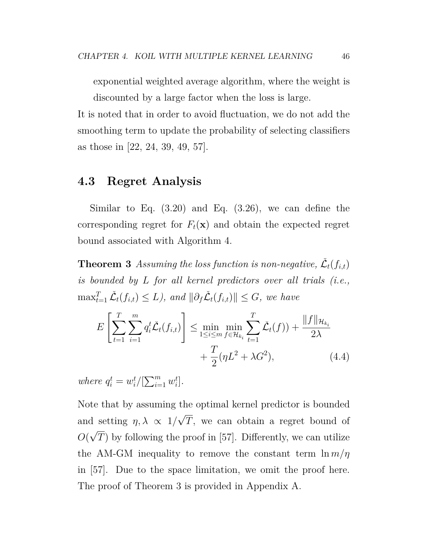exponential weighted average algorithm, where the weight is discounted by a large factor when the loss is large.

It is noted that in order to avoid fluctuation, we do not add the smoothing term to update the probability of selecting classifiers as those in [22, 24, 39, 49, 57].

#### **4.3 Regret Analysis**

Similar to Eq.  $(3.20)$  and Eq.  $(3.26)$ , we can define the corresponding regret for  $F_t(\mathbf{x})$  and obtain the expected regret bound associated with Algorithm 4.

**Theorem 3** *Assuming the loss function is non-negative,*  $\check{\mathcal{L}}_t(f_{i,t})$ *is bounded by L for all kernel predictors over all trials (i.e.,*  $\max_{t=1}^T \check{\mathcal{L}}_t(f_{i,t}) \leq L$ ), and  $\|\partial_f \check{\mathcal{L}}_t(f_{i,t})\| \leq G$ , we have

$$
E\left[\sum_{t=1}^{T} \sum_{i=1}^{m} q_i^t \check{\mathcal{L}}_t(f_{i,t})\right] \le \min_{1 \le i \le m} \min_{f \in \mathcal{H}_{k_i}} \sum_{t=1}^{T} \check{\mathcal{L}}_t(f) + \frac{\|f\|_{\mathcal{H}_{k_i}}}{2\lambda} + \frac{T}{2} (\eta L^2 + \lambda G^2),\tag{4.4}
$$

*where*  $q_i^t = w_i^t$  $\sum_{i=1}^t w_i^t$ *i* ]*.*

Note that by assuming the optimal kernel predictor is bounded and setting  $\eta, \lambda \propto 1/\sqrt{T}$ , we can obtain a regret bound of  $O(\sqrt{T})$  by following the proof in [57]. Differently, we can utilize *√* the AM-GM inequality to remove the constant term  $\ln m/\eta$ in [57]. Due to the space limitation, we omit the proof here. The proof of Theorem 3 is provided in Appendix A.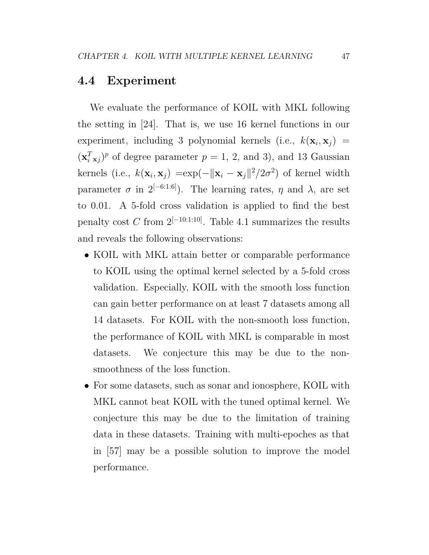#### **4.4 Experiment**

We evaluate the performance of KOIL with MKL following the setting in [24]. That is, we use 16 kernel functions in our  $\alpha$  experiment, including 3 polynomial kernels (i.e.,  $k(\mathbf{x}_i, \mathbf{x}_j)$ ) =  $(\mathbf{x}_i^T \mathbf{x}_j)^p$  of degree parameter  $p = 1, 2,$  and 3), and 13 Gaussian kernels (i.e.,  $k(\mathbf{x}_i, \mathbf{x}_j) = \exp(-\|\mathbf{x}_i - \mathbf{x}_j\|^2/2\sigma^2)$  of kernel width parameter  $\sigma$  in  $2^{[-6:1:6]}$ ). The learning rates,  $\eta$  and  $\lambda$ , are set to 0*.*01. A 5-fold cross validation is applied to find the best penalty cost *C* from  $2^{[-10:1:10]}$ . Table 4.1 summarizes the results and reveals the following observations:

- *•* KOIL with MKL attain better or comparable performance to KOIL using the optimal kernel selected by a 5-fold cross validation. Especially, KOIL with the smooth loss function can gain better performance on at least 7 datasets among all 14 datasets. For KOIL with the non-smooth loss function, the performance of KOIL with MKL is comparable in most datasets. We conjecture this may be due to the nonsmoothness of the loss function.
- For some datasets, such as sonar and ionosphere, KOIL with MKL cannot beat KOIL with the tuned optimal kernel. We conjecture this may be due to the limitation of training data in these datasets. Training with multi-epoches as that in [57] may be a possible solution to improve the model performance.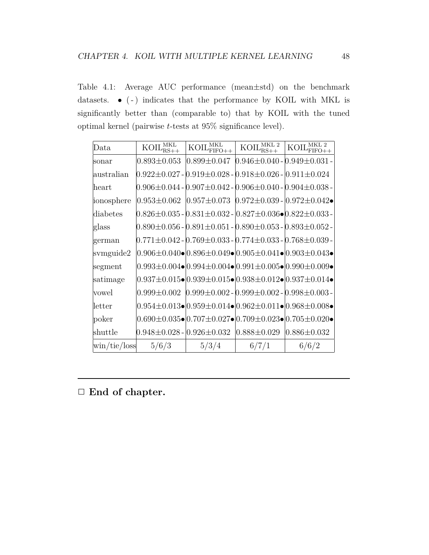Table 4.1: Average AUC performance (mean*±*std) on the benchmark datasets. • (-) indicates that the performance by KOIL with MKL is significantly better than (comparable to) that by KOIL with the tuned optimal kernel (pairwise *t*-tests at 95% significance level).

| Data                                  | $K OIL_{\text{BS}_{+}}^{\text{MKL}}$    | $\overline{\mathrm{KOL}}_{\mathrm{FIFO++}}^{\mathrm{MKL}}$ | $K OIL_{RS++}^{MKL 2}$                                                                                                                                                                                                                                                                                                                                                                                  | $\rm MKL$ 2<br>KOIL |
|---------------------------------------|-----------------------------------------|------------------------------------------------------------|---------------------------------------------------------------------------------------------------------------------------------------------------------------------------------------------------------------------------------------------------------------------------------------------------------------------------------------------------------------------------------------------------------|---------------------|
| sonar                                 | $0.893 \pm 0.053$                       | $0.899 \pm 0.047$                                          | $0.946{\pm0.040}$ - $0.949{\pm0.031}$ -                                                                                                                                                                                                                                                                                                                                                                 |                     |
| australian                            |                                         |                                                            | $0.922 \pm 0.027$ - $0.919 \pm 0.028$ - $0.918 \pm 0.026$ - $0.911 \pm 0.024$                                                                                                                                                                                                                                                                                                                           |                     |
| heart                                 |                                         |                                                            | $[0.906 \pm 0.044$ - $[0.907 \pm 0.042$ - $[0.906 \pm 0.040$ - $[0.904 \pm 0.038$ - $]$                                                                                                                                                                                                                                                                                                                 |                     |
| ionosphere                            | $0.953 \pm 0.062$                       |                                                            | $ 0.957 \pm 0.073 0.972 \pm 0.039 0.972 \pm 0.042 \bullet $                                                                                                                                                                                                                                                                                                                                             |                     |
| diabetes                              |                                         |                                                            | $[0.826 \pm 0.035$ - $[0.831 \pm 0.032$ - $[0.827 \pm 0.036 \bullet] 0.822 \pm 0.033$ -                                                                                                                                                                                                                                                                                                                 |                     |
| glass                                 |                                         |                                                            | $[0.890 \pm 0.056$ - $[0.891 \pm 0.051$ - $[0.890 \pm 0.053$ - $[0.893 \pm 0.052$ - $]$                                                                                                                                                                                                                                                                                                                 |                     |
| german                                |                                         |                                                            | $[0.771{\pm}0.042$ - $[0.769{\pm}0.033$ - $[0.774{\pm}0.033$ - $[0.768{\pm}0.039$ - $]$                                                                                                                                                                                                                                                                                                                 |                     |
| svmguide2                             |                                         |                                                            | $0.906 \pm 0.040 \bullet   0.896 \pm 0.049 \bullet   0.905 \pm 0.041 \bullet   0.903 \pm 0.043 \bullet  $                                                                                                                                                                                                                                                                                               |                     |
| segment                               |                                         |                                                            | $0.993 \pm 0.004 \bullet  0.994 \pm 0.004 \bullet  0.991 \pm 0.005 \bullet  0.990 \pm 0.009 \bullet  0.009 \bullet  0.009 \bullet  0.009 \bullet  0.009 \bullet  0.009 \bullet  0.009 \bullet  0.009 \bullet  0.009 \bullet  0.009 \bullet  0.009 \bullet  0.009 \bullet  0.009 \bullet  0.009 \bullet  0.009 \bullet  0.009 \bullet  0.009 \bullet  0.009 \bullet  0.009 \bullet  0.009 \bullet  0.00$ |                     |
| satimage                              |                                         |                                                            | $0.937 \pm 0.015 \bullet  0.939 \pm 0.015 \bullet  0.938 \pm 0.012 \bullet  0.937 \pm 0.014 \bullet  0.001 \bullet  0.001 \bullet  0.001 \bullet  0.001 \bullet  0.001 \bullet  0.001 \bullet  0.001 \bullet  0.001 \bullet  0.001 \bullet  0.001 \bullet  0.001 \bullet  0.001 \bullet  0.001 \bullet  0.001 \bullet  0.001 \bullet  0.001 \bullet  0.001 \bullet  0.001 \bullet  0.001 \bullet  0.00$ |                     |
| vowel                                 |                                         |                                                            | $0.999 \pm 0.002$ $[0.999 \pm 0.002 - [0.999 \pm 0.002 - [0.998 \pm 0.003 -$                                                                                                                                                                                                                                                                                                                            |                     |
| letter                                |                                         |                                                            | $0.954\pm0.013\bullet 0.959\pm0.014\bullet 0.962\pm0.011\bullet 0.968\pm0.008\bullet $                                                                                                                                                                                                                                                                                                                  |                     |
| poker                                 |                                         |                                                            | $0.690\pm0.035\bullet]0.707\pm0.027\bullet]0.709\pm0.023\bullet]0.705\pm0.020\bullet$                                                                                                                                                                                                                                                                                                                   |                     |
| shuttle                               | $0.948 \pm 0.028$ - $ 0.926 \pm 0.032 $ |                                                            | $ 0.888 \pm 0.029 $                                                                                                                                                                                                                                                                                                                                                                                     | $0.886 \pm 0.032$   |
| $\frac{\text{win}}{\text{tie}}$ /loss | 5/6/3                                   | 5/3/4                                                      | 6/7/1                                                                                                                                                                                                                                                                                                                                                                                                   | 6/6/2               |

*✷* **End of chapter.**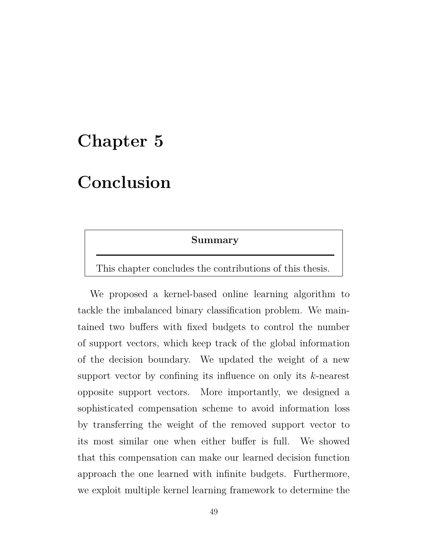## **Chapter 5**

## **Conclusion**

#### **Summary**

This chapter concludes the contributions of this thesis.

We proposed a kernel-based online learning algorithm to tackle the imbalanced binary classification problem. We maintained two buffers with fixed budgets to control the number of support vectors, which keep track of the global information of the decision boundary. We updated the weight of a new support vector by confining its influence on only its *k*-nearest opposite support vectors. More importantly, we designed a sophisticated compensation scheme to avoid information loss by transferring the weight of the removed support vector to its most similar one when either buffer is full. We showed that this compensation can make our learned decision function approach the one learned with infinite budgets. Furthermore, we exploit multiple kernel learning framework to determine the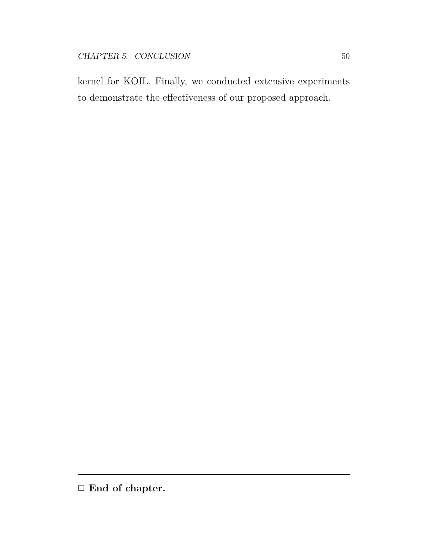kernel for KOIL. Finally, we conducted extensive experiments to demonstrate the effectiveness of our proposed approach.

*<sup>✷</sup>* **End of chapter.**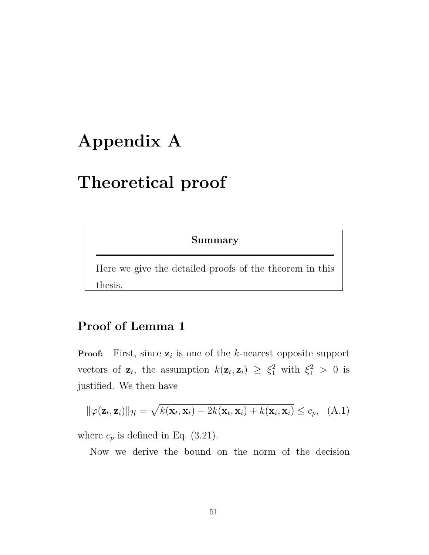## **Appendix A**

## **Theoretical proof**

**Summary**

Here we give the detailed proofs of the theorem in this thesis.

### **Proof of Lemma 1**

**Proof:** First, since  $z_i$  is one of the *k*-nearest opposite support vectors of  $\mathbf{z}_t$ , the assumption  $k(\mathbf{z}_t, \mathbf{z}_i) \geq \xi_1^2$  with  $\xi_1^2 > 0$  is justified. We then have

$$
\|\varphi(\mathbf{z}_t, \mathbf{z}_i)\|_{\mathcal{H}} = \sqrt{k(\mathbf{x}_t, \mathbf{x}_t) - 2k(\mathbf{x}_t, \mathbf{x}_i) + k(\mathbf{x}_i, \mathbf{x}_i)} \leq c_p, \quad (A.1)
$$

where  $c_p$  is defined in Eq. (3.21).

Now we derive the bound on the norm of the decision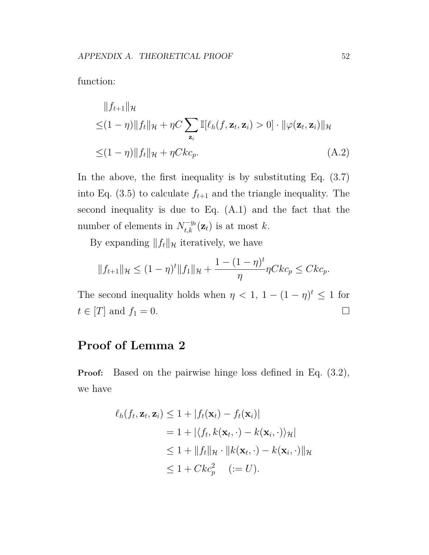$$
||f_{t+1}||_{\mathcal{H}}
$$
  
\n
$$
\leq (1 - \eta) ||f_t||_{\mathcal{H}} + \eta C \sum_{\mathbf{z}_i} \mathbb{I}[\ell_h(f, \mathbf{z}_t, \mathbf{z}_i) > 0] \cdot ||\varphi(\mathbf{z}_t, \mathbf{z}_i)||_{\mathcal{H}}
$$
  
\n
$$
\leq (1 - \eta) ||f_t||_{\mathcal{H}} + \eta C k c_p.
$$
\n(A.2)

In the above, the first inequality is by substituting Eq. (3.7) into Eq.  $(3.5)$  to calculate  $f_{t+1}$  and the triangle inequality. The second inequality is due to Eq. (A.1) and the fact that the number of elements in  $N_{t,k}^{-y_t}(\mathbf{z}_t)$  is at most *k*.

By expanding  $||f_t||_{\mathcal{H}}$  iteratively, we have

$$
||f_{t+1}||_{\mathcal{H}} \le (1-\eta)^t ||f_1||_{\mathcal{H}} + \frac{1-(1-\eta)^t}{\eta} \eta C k c_p \le C k c_p.
$$

The second inequality holds when  $\eta < 1$ ,  $1 - (1 - \eta)^t \leq 1$  for  $t \in [T]$  and  $f_1 = 0$ .

### **Proof of Lemma 2**

**Proof:** Based on the pairwise hinge loss defined in Eq. (3.2), we have

$$
\ell_h(f_t, \mathbf{z}_t, \mathbf{z}_i) \le 1 + |f_t(\mathbf{x}_t) - f_t(\mathbf{x}_i)|
$$
  
= 1 + |\langle f\_t, k(\mathbf{x}\_t, \cdot) - k(\mathbf{x}\_i, \cdot) \rangle\_{\mathcal{H}}|  
\le 1 + ||f\_t||\_{\mathcal{H}} \cdot ||k(\mathbf{x}\_t, \cdot) - k(\mathbf{x}\_i, \cdot)||\_{\mathcal{H}}  
\le 1 + Ckc\_p^2 \quad (:= U).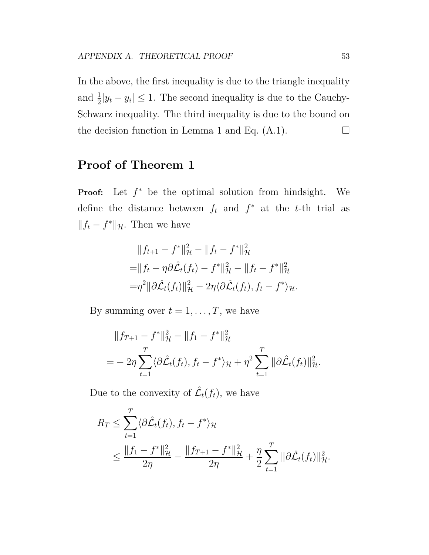In the above, the first inequality is due to the triangle inequality and  $\frac{1}{2}|y_t - y_i| \leq 1$ . The second inequality is due to the Cauchy-Schwarz inequality. The third inequality is due to the bound on the decision function in Lemma 1 and Eq.  $(A.1)$ .  $\Box$ 

### **Proof of Theorem 1**

**Proof:** Let *f <sup>∗</sup>* be the optimal solution from hindsight. We define the distance between  $f_t$  and  $f^*$  at the *t*-th trial as  $|| f_t - f^* ||_{\mathcal{H}}$ . Then we have

$$
||f_{t+1} - f^*||_{\mathcal{H}}^2 - ||f_t - f^*||_{\mathcal{H}}^2
$$
  
=  $||f_t - \eta \partial \hat{\mathcal{L}}_t(f_t) - f^*||_{\mathcal{H}}^2 - ||f_t - f^*||_{\mathcal{H}}^2$   
=  $\eta^2 ||\partial \hat{\mathcal{L}}_t(f_t)||_{\mathcal{H}}^2 - 2\eta \langle \partial \hat{\mathcal{L}}_t(f_t), f_t - f^* \rangle_{\mathcal{H}}.$ 

By summing over  $t = 1, \ldots, T$ , we have

$$
||f_{T+1} - f^*||_{\mathcal{H}}^2 - ||f_1 - f^*||_{\mathcal{H}}^2
$$
  
= 
$$
- 2\eta \sum_{t=1}^T \langle \partial \hat{\mathcal{L}}_t(f_t), f_t - f^* \rangle_{\mathcal{H}} + \eta^2 \sum_{t=1}^T ||\partial \hat{\mathcal{L}}_t(f_t)||_{\mathcal{H}}^2.
$$

Due to the convexity of  $\mathcal{L}_t(f_t)$ , we have

$$
R_T \leq \sum_{t=1}^T \langle \partial \hat{\mathcal{L}}_t(f_t), f_t - f^* \rangle_{\mathcal{H}}
$$
  
 
$$
\leq \frac{\|f_1 - f^*\|_{\mathcal{H}}^2}{2\eta} - \frac{\|f_{T+1} - f^*\|_{\mathcal{H}}^2}{2\eta} + \frac{\eta}{2} \sum_{t=1}^T \|\partial \hat{\mathcal{L}}_t(f_t)\|_{\mathcal{H}}^2.
$$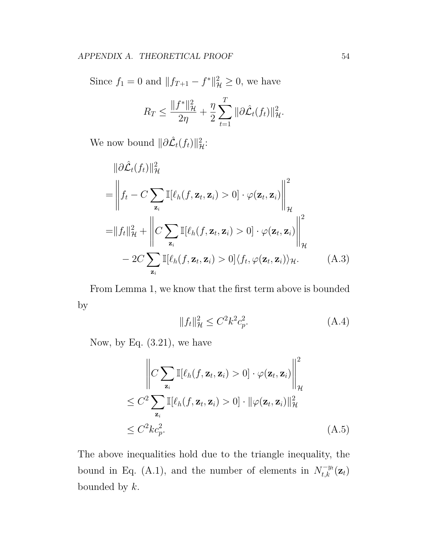Since  $f_1 = 0$  and  $||f_{T+1} - f^*||^2_{\mathcal{H}} \ge 0$ , we have

$$
R_T \le \frac{\|f^*\|_{\mathcal{H}}^2}{2\eta} + \frac{\eta}{2} \sum_{t=1}^T \|\partial \hat{\mathcal{L}}_t(f_t)\|_{\mathcal{H}}^2.
$$

We now bound  $\|\partial \hat{\mathcal{L}}_t(f_t)\|_{\mathcal{H}}^2$ :

$$
\|\partial \hat{\mathcal{L}}_t(f_t)\|_{\mathcal{H}}^2
$$
\n
$$
= \left\| f_t - C \sum_{\mathbf{z}_i} \mathbb{I}[\ell_h(f, \mathbf{z}_t, \mathbf{z}_i) > 0] \cdot \varphi(\mathbf{z}_t, \mathbf{z}_i) \right\|_{\mathcal{H}}^2
$$
\n
$$
= \|f_t\|_{\mathcal{H}}^2 + \left\| C \sum_{\mathbf{z}_i} \mathbb{I}[\ell_h(f, \mathbf{z}_t, \mathbf{z}_i) > 0] \cdot \varphi(\mathbf{z}_t, \mathbf{z}_i) \right\|_{\mathcal{H}}^2
$$
\n
$$
- 2C \sum_{\mathbf{z}_i} \mathbb{I}[\ell_h(f, \mathbf{z}_t, \mathbf{z}_i) > 0] \langle f_t, \varphi(\mathbf{z}_t, \mathbf{z}_i) \rangle_{\mathcal{H}}.
$$
\n(A.3)

From Lemma 1, we know that the first term above is bounded by

$$
||f_t||_{\mathcal{H}}^2 \le C^2 k^2 c_p^2. \tag{A.4}
$$

Now, by Eq. (3.21), we have

$$
\left\| C \sum_{\mathbf{z}_i} \mathbb{I}[\ell_h(f, \mathbf{z}_t, \mathbf{z}_i) > 0] \cdot \varphi(\mathbf{z}_t, \mathbf{z}_i) \right\|_{\mathcal{H}}^2
$$
  
\n
$$
\leq C^2 \sum_{\mathbf{z}_i} \mathbb{I}[\ell_h(f, \mathbf{z}_t, \mathbf{z}_i) > 0] \cdot \|\varphi(\mathbf{z}_t, \mathbf{z}_i)\|_{\mathcal{H}}^2
$$
  
\n
$$
\leq C^2 k c_p^2. \tag{A.5}
$$

The above inequalities hold due to the triangle inequality, the bound in Eq. (A.1), and the number of elements in  $N_{t,k}^{-y_t}(\mathbf{z}_t)$ bounded by *k*.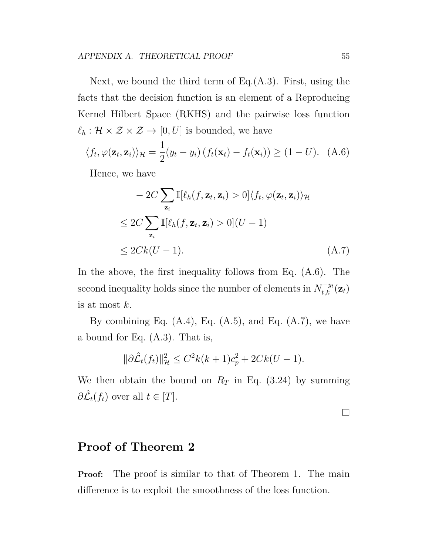Next, we bound the third term of Eq.(A.3). First, using the facts that the decision function is an element of a Reproducing Kernel Hilbert Space (RKHS) and the pairwise loss function  $\ell_h : \mathcal{H} \times \mathcal{Z} \times \mathcal{Z} \to [0, U]$  is bounded, we have

$$
\langle f_t, \varphi(\mathbf{z}_t, \mathbf{z}_i) \rangle_{\mathcal{H}} = \frac{1}{2} (y_t - y_i) \left( f_t(\mathbf{x}_t) - f_t(\mathbf{x}_i) \right) \ge (1 - U). \quad (A.6)
$$

Hence, we have

$$
-2C \sum_{\mathbf{z}_i} \mathbb{I}[\ell_h(f, \mathbf{z}_t, \mathbf{z}_i) > 0] \langle f_t, \varphi(\mathbf{z}_t, \mathbf{z}_i) \rangle_{\mathcal{H}}
$$
  
\n
$$
\leq 2C \sum_{\mathbf{z}_i} \mathbb{I}[\ell_h(f, \mathbf{z}_t, \mathbf{z}_i) > 0](U - 1)
$$
  
\n
$$
\leq 2Ck(U - 1). \tag{A.7}
$$

In the above, the first inequality follows from Eq. (A.6). The  $\mathbf{r} = \begin{cases} \mathbf{r} & \text{if } \mathbf{r} \leq \mathbf{r} \leq \mathbf{r} \end{cases}$ is at most *k*.

By combining Eq.  $(A.4)$ , Eq.  $(A.5)$ , and Eq.  $(A.7)$ , we have a bound for Eq. (A.3). That is,

$$
\|\partial \hat{\mathcal{L}}_t(f_t)\|_{\mathcal{H}}^2 \le C^2 k(k+1)c_p^2 + 2Ck(U-1).
$$

We then obtain the bound on  $R_T$  in Eq. (3.24) by summing  $\partial \hat{\mathcal{L}}_t(f_t)$  over all  $t \in [T]$ .

□

#### **Proof of Theorem 2**

**Proof:** The proof is similar to that of Theorem 1. The main difference is to exploit the smoothness of the loss function.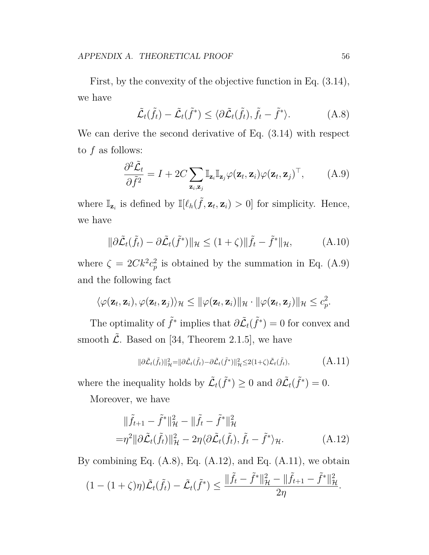First, by the convexity of the objective function in Eq. (3.14), we have

$$
\tilde{\mathcal{L}}_t(\tilde{f}_t) - \tilde{\mathcal{L}}_t(\tilde{f}^*) \le \langle \partial \tilde{\mathcal{L}}_t(\tilde{f}_t), \tilde{f}_t - \tilde{f}^* \rangle. \tag{A.8}
$$

We can derive the second derivative of Eq.  $(3.14)$  with respect to *f* as follows:

$$
\frac{\partial^2 \tilde{\mathcal{L}}_t}{\partial \tilde{f}^2} = I + 2C \sum_{\mathbf{z}_i, \mathbf{z}_j} \mathbb{I}_{\mathbf{z}_i} \mathbb{I}_{\mathbf{z}_j} \varphi(\mathbf{z}_t, \mathbf{z}_i) \varphi(\mathbf{z}_t, \mathbf{z}_j)^\top, \tag{A.9}
$$

where  $\mathbb{I}_{\mathbf{z}_i}$  is defined by  $\mathbb{I}[\ell_h(\tilde{f}, \mathbf{z}_t, \mathbf{z}_i) > 0]$  for simplicity. Hence, we have

$$
\|\partial \tilde{\mathcal{L}}_t(\tilde{f}_t) - \partial \tilde{\mathcal{L}}_t(\tilde{f}^*)\|_{\mathcal{H}} \le (1+\zeta) \|\tilde{f}_t - \tilde{f}^*\|_{\mathcal{H}},\tag{A.10}
$$

where  $\zeta = 2Ck^2c_n^2$  $_p^2$  is obtained by the summation in Eq.  $(A.9)$ and the following fact

$$
\langle \varphi(\mathbf{z}_t, \mathbf{z}_i), \varphi(\mathbf{z}_t, \mathbf{z}_j) \rangle_{\mathcal{H}} \leq ||\varphi(\mathbf{z}_t, \mathbf{z}_i)||_{\mathcal{H}} \cdot ||\varphi(\mathbf{z}_t, \mathbf{z}_j)||_{\mathcal{H}} \leq c_p^2.
$$

The optimality of  $\tilde{f}^*$  implies that  $\partial \tilde{L}_t(\tilde{f}^*) = 0$  for convex and smooth  $\tilde{\mathcal{L}}$ . Based on [34, Theorem 2.1.5], we have

$$
\|\partial \tilde{\mathcal{L}}_t(\tilde{f}_t)\|_{\mathcal{H}}^2 = \|\partial \tilde{\mathcal{L}}_t(\tilde{f}_t) - \partial \tilde{\mathcal{L}}_t(\tilde{f}^*)\|_{\mathcal{H}}^2 \leq 2(1+\zeta)\tilde{\mathcal{L}}_t(\tilde{f}_t),\tag{A.11}
$$

where the inequality holds by  $\tilde{\mathcal{L}}_t(\tilde{f}^*) \geq 0$  and  $\partial \tilde{\mathcal{L}}_t(\tilde{f}^*) = 0$ .

Moreover, we have

$$
\begin{aligned}\n\|\tilde{f}_{t+1} - \tilde{f}^*\|^2_{\mathcal{H}} - \|\tilde{f}_t - \tilde{f}^*\|^2_{\mathcal{H}} \\
= &\eta^2 \|\partial \tilde{\mathcal{L}}_t(\tilde{f}_t)\|^2_{\mathcal{H}} - 2\eta \langle \partial \tilde{\mathcal{L}}_t(\tilde{f}_t), \tilde{f}_t - \tilde{f}^* \rangle_{\mathcal{H}}.\n\end{aligned} \tag{A.12}
$$

By combining Eq.  $(A.8)$ , Eq.  $(A.12)$ , and Eq.  $(A.11)$ , we obtain

$$
(1 - (1 + \zeta)\eta)\tilde{\mathcal{L}}_t(\tilde{f}_t) - \tilde{\mathcal{L}}_t(\tilde{f}^*) \le \frac{\|\tilde{f}_t - \tilde{f}^*\|_{\mathcal{H}}^2 - \|\tilde{f}_{t+1} - \tilde{f}^*\|_{\mathcal{H}}^2}{2\eta}.
$$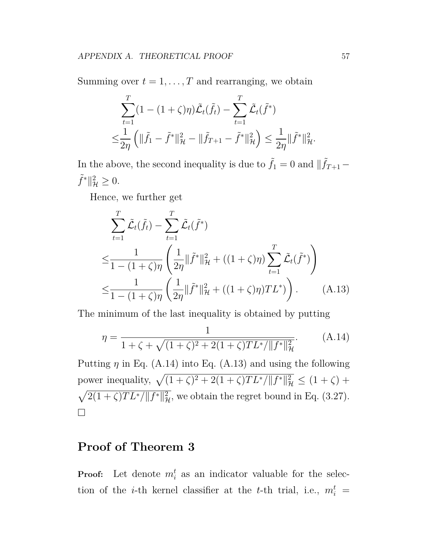Summing over  $t = 1, \ldots, T$  and rearranging, we obtain

$$
\sum_{t=1}^{T} (1 - (1 + \zeta)\eta) \tilde{\mathcal{L}}_t(\tilde{f}_t) - \sum_{t=1}^{T} \tilde{\mathcal{L}}_t(\tilde{f}^*)
$$
  

$$
\leq \frac{1}{2\eta} \left( \| \tilde{f}_1 - \tilde{f}^* \|_{\mathcal{H}}^2 - \| \tilde{f}_{T+1} - \tilde{f}^* \|_{\mathcal{H}}^2 \right) \leq \frac{1}{2\eta} \| \tilde{f}^* \|_{\mathcal{H}}^2.
$$

In the above, the second inequality is due to  $\tilde{f}_1 = 0$  and  $||\tilde{f}_{T+1} \tilde{f}^* \|_{\mathcal{H}}^2 \geq 0.$ 

Hence, we further get

$$
\sum_{t=1}^{T} \tilde{\mathcal{L}}_{t}(\tilde{f}_{t}) - \sum_{t=1}^{T} \tilde{\mathcal{L}}_{t}(\tilde{f}^{*})
$$
\n
$$
\leq \frac{1}{1 - (1 + \zeta)\eta} \left( \frac{1}{2\eta} \|\tilde{f}^{*}\|_{\mathcal{H}}^{2} + ((1 + \zeta)\eta) \sum_{t=1}^{T} \tilde{\mathcal{L}}_{t}(\tilde{f}^{*}) \right)
$$
\n
$$
\leq \frac{1}{1 - (1 + \zeta)\eta} \left( \frac{1}{2\eta} \|\tilde{f}^{*}\|_{\mathcal{H}}^{2} + ((1 + \zeta)\eta)TL^{*}) \right). \tag{A.13}
$$

The minimum of the last inequality is obtained by putting

$$
\eta = \frac{1}{1 + \zeta + \sqrt{(1 + \zeta)^2 + 2(1 + \zeta)TL^* / ||f^*||^2_{\mathcal{H}}}}.\tag{A.14}
$$

Putting  $\eta$  in Eq. (A.14) into Eq. (A.13) and using the following power inequality,  $\sqrt{(1+\zeta)^2 + 2(1+\zeta)TL^*/||f^*||^2_{\mathcal{H}}} \leq (1+\zeta) +$  $\sqrt{2(1+\zeta)TL^*/||f^*||^2_{\mathcal{H}}}$ , we obtain the regret bound in Eq. (3.27). □

### **Proof of Theorem 3**

**Proof:** Let denote  $m_i^t$  as an indicator valuable for the selection of the *i*-th kernel classifier at the *t*-th trial, i.e.,  $m_i^t =$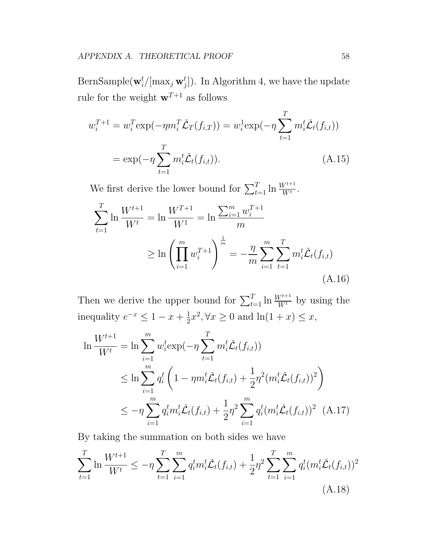BernSample( $\mathbf{w}_i^t/[\max_j \mathbf{w}_j^t]$ ). In Algorithm 4, we have the update rule for the weight  $\mathbf{w}^{T+1}$  as follows

$$
w_i^{T+1} = w_i^T \exp(-\eta m_i^T \check{\mathcal{L}}_T(f_{i,T})) = w_i^1 \exp(-\eta \sum_{t=1}^T m_i^t \check{\mathcal{L}}_t(f_{i,t}))
$$
  
=  $\exp(-\eta \sum_{t=1}^T m_i^t \check{\mathcal{L}}_t(f_{i,t})).$  (A.15)

We first derive the lower bound for  $\sum_{t=1}^{T} \ln \frac{W^{t+1}}{W^t}$ .

$$
\sum_{t=1}^{T} \ln \frac{W^{t+1}}{W^t} = \ln \frac{W^{T+1}}{W^1} = \ln \frac{\sum_{i=1}^{m} w_i^{T+1}}{m}
$$

$$
\geq \ln \left( \prod_{i=1}^{m} w_i^{T+1} \right)^{\frac{1}{m}} = -\frac{\eta}{m} \sum_{i=1}^{m} \sum_{t=1}^{T} m_i^t \check{\mathcal{L}}_t(f_{i,t})
$$
(A.16)

Then we derive the upper bound for  $\sum_{t=1}^{T} \ln \frac{W^{t+1}}{W^t}$  by using the inequality  $e^{-x} \leq 1 - x + \frac{1}{2}$  $\frac{1}{2}x^2, \forall x \ge 0 \text{ and } \ln(1+x) \le x,$ 

$$
\ln \frac{W^{t+1}}{W^t} = \ln \sum_{i=1}^m w_i^t \exp(-\eta \sum_{t=1}^T m_i^t \tilde{\mathcal{L}}_t(f_{i,t}))
$$
  
\n
$$
\leq \ln \sum_{i=1}^m q_i^t \left(1 - \eta m_i^t \tilde{\mathcal{L}}_t(f_{i,t}) + \frac{1}{2} \eta^2 (m_i^t \tilde{\mathcal{L}}_t(f_{i,t}))^2\right)
$$
  
\n
$$
\leq -\eta \sum_{i=1}^m q_i^t m_i^t \tilde{\mathcal{L}}_t(f_{i,t}) + \frac{1}{2} \eta^2 \sum_{i=1}^m q_i^t (m_i^t \tilde{\mathcal{L}}_t(f_{i,t}))^2 (A.17)
$$

By taking the summation on both sides we have

$$
\sum_{t=1}^{T} \ln \frac{W^{t+1}}{W^t} \le -\eta \sum_{t=1}^{T} \sum_{i=1}^{m} q_i^t m_i^t \check{\mathcal{L}}_t(f_{i,t}) + \frac{1}{2} \eta^2 \sum_{t=1}^{T} \sum_{i=1}^{m} q_i^t (m_i^t \check{\mathcal{L}}_t(f_{i,t}))^2
$$
\n(A.18)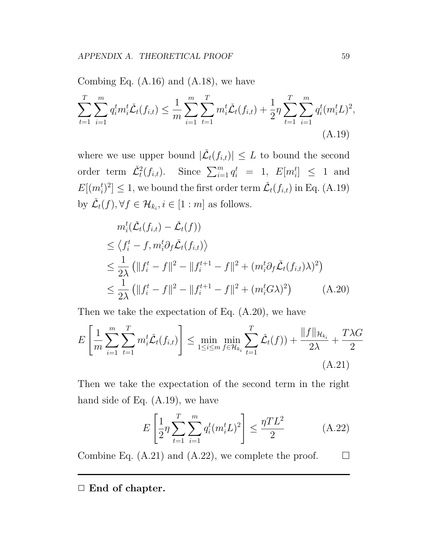Combing Eq.  $(A.16)$  and  $(A.18)$ , we have

$$
\sum_{t=1}^{T} \sum_{i=1}^{m} q_i^t m_i^t \check{\mathcal{L}}_t(f_{i,t}) \leq \frac{1}{m} \sum_{i=1}^{m} \sum_{t=1}^{T} m_i^t \check{\mathcal{L}}_t(f_{i,t}) + \frac{1}{2} \eta \sum_{t=1}^{T} \sum_{i=1}^{m} q_i^t (m_i^t L)^2,
$$
\n(A.19)

where we use upper bound  $|\check{L}_t(f_{i,t})| \leq L$  to bound the second order term  $\tilde{\mathcal{L}}_t^2(f_{i,t})$ . Since  $\sum_{i=1}^m q_i^t = 1$ ,  $E[m_i^t] \leq 1$  and  $E[(m_i^t)^2] \leq 1$ , we bound the first order term  $\check{\mathcal{L}}_t(f_{i,t})$  in Eq. (A.19) by  $\check{\mathcal{L}}_t(f), \forall f \in \mathcal{H}_{k_i}, i \in [1:m]$  as follows.

$$
m_i^t(\check{\mathcal{L}}_t(f_{i,t}) - \check{\mathcal{L}}_t(f))
$$
  
\n
$$
\leq \langle f_i^t - f, m_i^t \partial_f \check{\mathcal{L}}_t(f_{i,t}) \rangle
$$
  
\n
$$
\leq \frac{1}{2\lambda} \left( \|f_i^t - f\|^2 - \|f_i^{t+1} - f\|^2 + (m_i^t \partial_f \check{\mathcal{L}}_t(f_{i,t}) \lambda)^2 \right)
$$
  
\n
$$
\leq \frac{1}{2\lambda} \left( \|f_i^t - f\|^2 - \|f_i^{t+1} - f\|^2 + (m_i^t G \lambda)^2 \right) \tag{A.20}
$$

Then we take the expectation of Eq. (A.20), we have

$$
E\left[\frac{1}{m}\sum_{i=1}^{m}\sum_{t=1}^{T}m_{i}^{t}\check{\mathcal{L}}_{t}(f_{i,t})\right] \leq \min_{1\leq i\leq m}\min_{f\in\mathcal{H}_{k_{i}}}\sum_{t=1}^{T}\check{\mathcal{L}}_{t}(f)) + \frac{\|f\|_{\mathcal{H}_{k_{i}}}}{2\lambda} + \frac{T\lambda G}{2}
$$
\n(A.21)

Then we take the expectation of the second term in the right hand side of Eq. (A.19), we have

$$
E\left[\frac{1}{2}\eta \sum_{t=1}^{T} \sum_{i=1}^{m} q_i^t (m_i^t L)^2\right] \le \frac{\eta T L^2}{2}
$$
 (A.22)

Combine Eq. (A.21) and (A.22), we complete the proof.  $\Box$ 

*✷* **End of chapter.**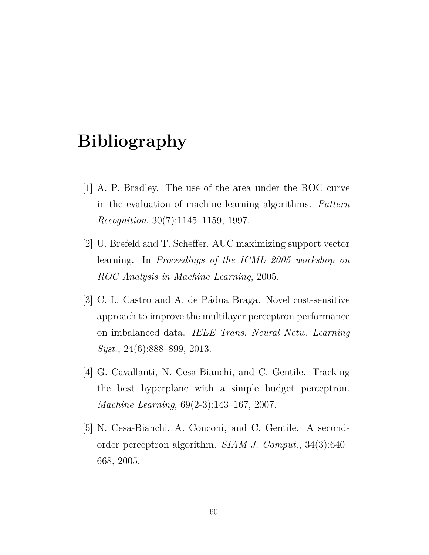## **Bibliography**

- [1] A. P. Bradley. The use of the area under the ROC curve in the evaluation of machine learning algorithms. *Pattern Recognition*, 30(7):1145–1159, 1997.
- [2] U. Brefeld and T. Scheffer. AUC maximizing support vector learning. In *Proceedings of the ICML 2005 workshop on ROC Analysis in Machine Learning*, 2005.
- [3] C. L. Castro and A. de Pádua Braga. Novel cost-sensitive approach to improve the multilayer perceptron performance on imbalanced data. *IEEE Trans. Neural Netw. Learning Syst.*, 24(6):888–899, 2013.
- [4] G. Cavallanti, N. Cesa-Bianchi, and C. Gentile. Tracking the best hyperplane with a simple budget perceptron. *Machine Learning*, 69(2-3):143–167, 2007.
- [5] N. Cesa-Bianchi, A. Conconi, and C. Gentile. A secondorder perceptron algorithm. *SIAM J. Comput.*, 34(3):640– 668, 2005.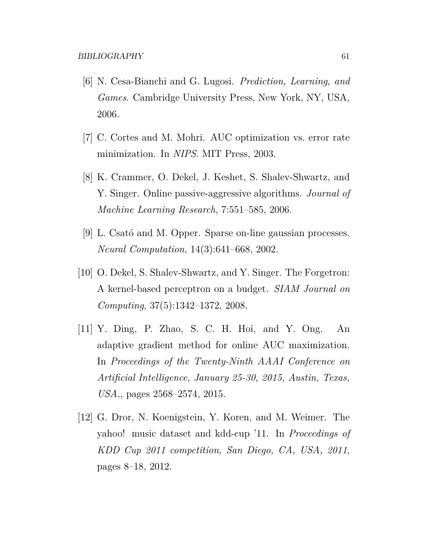- [6] N. Cesa-Bianchi and G. Lugosi. *Prediction, Learning, and Games*. Cambridge University Press, New York, NY, USA, 2006.
- [7] C. Cortes and M. Mohri. AUC optimization vs. error rate minimization. In *NIPS*. MIT Press, 2003.
- [8] K. Crammer, O. Dekel, J. Keshet, S. Shalev-Shwartz, and Y. Singer. Online passive-aggressive algorithms. *Journal of Machine Learning Research*, 7:551–585, 2006.
- [9] L. Csató and M. Opper. Sparse on-line gaussian processes. *Neural Computation*, 14(3):641–668, 2002.
- [10] O. Dekel, S. Shalev-Shwartz, and Y. Singer. The Forgetron: A kernel-based perceptron on a budget. *SIAM Journal on Computing*, 37(5):1342–1372, 2008.
- [11] Y. Ding, P. Zhao, S. C. H. Hoi, and Y. Ong. An adaptive gradient method for online AUC maximization. In *Proceedings of the Twenty-Ninth AAAI Conference on Artificial Intelligence, January 25-30, 2015, Austin, Texas, USA.*, pages 2568–2574, 2015.
- [12] G. Dror, N. Koenigstein, Y. Koren, and M. Weimer. The yahoo! music dataset and kdd-cup '11. In *Proceedings of KDD Cup 2011 competition, San Diego, CA, USA, 2011*, pages 8–18, 2012.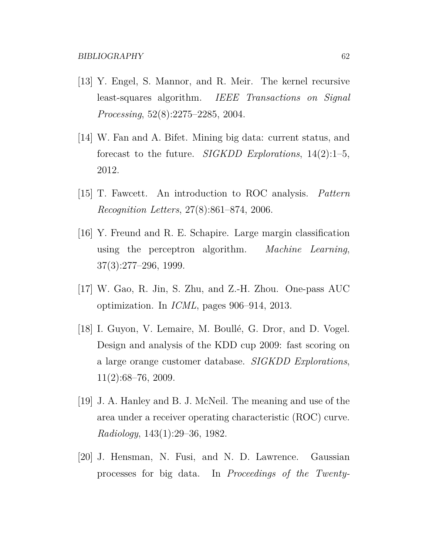- [13] Y. Engel, S. Mannor, and R. Meir. The kernel recursive least-squares algorithm. *IEEE Transactions on Signal Processing*, 52(8):2275–2285, 2004.
- [14] W. Fan and A. Bifet. Mining big data: current status, and forecast to the future. *SIGKDD Explorations*, 14(2):1–5, 2012.
- [15] T. Fawcett. An introduction to ROC analysis. *Pattern Recognition Letters*, 27(8):861–874, 2006.
- [16] Y. Freund and R. E. Schapire. Large margin classification using the perceptron algorithm. *Machine Learning*, 37(3):277–296, 1999.
- [17] W. Gao, R. Jin, S. Zhu, and Z.-H. Zhou. One-pass AUC optimization. In *ICML*, pages 906–914, 2013.
- [18] I. Guyon, V. Lemaire, M. Boullé, G. Dror, and D. Vogel. Design and analysis of the KDD cup 2009: fast scoring on a large orange customer database. *SIGKDD Explorations*, 11(2):68–76, 2009.
- [19] J. A. Hanley and B. J. McNeil. The meaning and use of the area under a receiver operating characteristic (ROC) curve. *Radiology*, 143(1):29–36, 1982.
- [20] J. Hensman, N. Fusi, and N. D. Lawrence. Gaussian processes for big data. In *Proceedings of the Twenty-*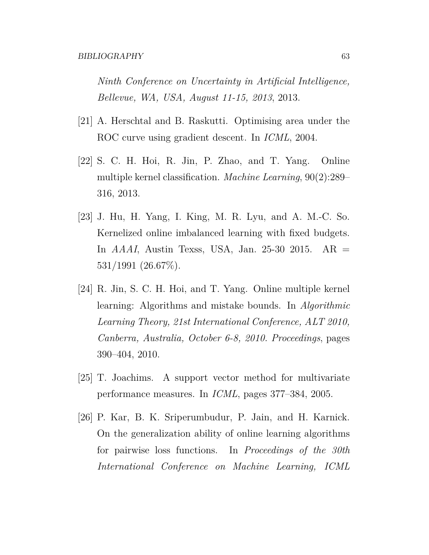*Ninth Conference on Uncertainty in Artificial Intelligence, Bellevue, WA, USA, August 11-15, 2013*, 2013.

- [21] A. Herschtal and B. Raskutti. Optimising area under the ROC curve using gradient descent. In *ICML*, 2004.
- [22] S. C. H. Hoi, R. Jin, P. Zhao, and T. Yang. Online multiple kernel classification. *Machine Learning*, 90(2):289– 316, 2013.
- [23] J. Hu, H. Yang, I. King, M. R. Lyu, and A. M.-C. So. Kernelized online imbalanced learning with fixed budgets. In *AAAI*, Austin Texss, USA, Jan. 25-30 2015. AR = 531/1991 (26.67%).
- [24] R. Jin, S. C. H. Hoi, and T. Yang. Online multiple kernel learning: Algorithms and mistake bounds. In *Algorithmic Learning Theory, 21st International Conference, ALT 2010, Canberra, Australia, October 6-8, 2010. Proceedings*, pages 390–404, 2010.
- [25] T. Joachims. A support vector method for multivariate performance measures. In *ICML*, pages 377–384, 2005.
- [26] P. Kar, B. K. Sriperumbudur, P. Jain, and H. Karnick. On the generalization ability of online learning algorithms for pairwise loss functions. In *Proceedings of the 30th International Conference on Machine Learning, ICML*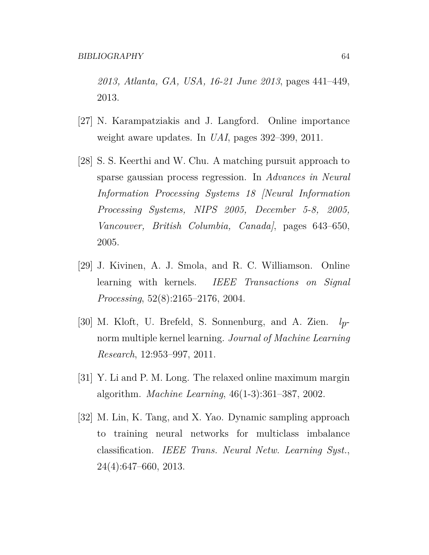*2013, Atlanta, GA, USA, 16-21 June 2013*, pages 441–449, 2013.

- [27] N. Karampatziakis and J. Langford. Online importance weight aware updates. In *UAI*, pages 392–399, 2011.
- [28] S. S. Keerthi and W. Chu. A matching pursuit approach to sparse gaussian process regression. In *Advances in Neural Information Processing Systems 18 [Neural Information Processing Systems, NIPS 2005, December 5-8, 2005, Vancouver, British Columbia, Canada]*, pages 643–650, 2005.
- [29] J. Kivinen, A. J. Smola, and R. C. Williamson. Online learning with kernels. *IEEE Transactions on Signal Processing*, 52(8):2165–2176, 2004.
- [30] M. Kloft, U. Brefeld, S. Sonnenburg, and A. Zien. *lp*norm multiple kernel learning. *Journal of Machine Learning Research*, 12:953–997, 2011.
- [31] Y. Li and P. M. Long. The relaxed online maximum margin algorithm. *Machine Learning*, 46(1-3):361–387, 2002.
- [32] M. Lin, K. Tang, and X. Yao. Dynamic sampling approach to training neural networks for multiclass imbalance classification. *IEEE Trans. Neural Netw. Learning Syst.*, 24(4):647–660, 2013.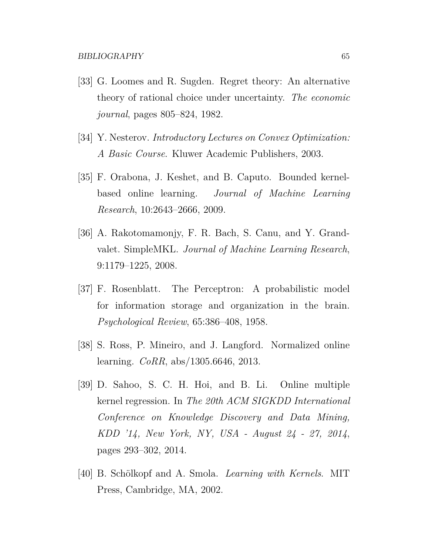- [33] G. Loomes and R. Sugden. Regret theory: An alternative theory of rational choice under uncertainty. *The economic journal*, pages 805–824, 1982.
- [34] Y. Nesterov. *Introductory Lectures on Convex Optimization: A Basic Course*. Kluwer Academic Publishers, 2003.
- [35] F. Orabona, J. Keshet, and B. Caputo. Bounded kernelbased online learning. *Journal of Machine Learning Research*, 10:2643–2666, 2009.
- [36] A. Rakotomamonjy, F. R. Bach, S. Canu, and Y. Grandvalet. SimpleMKL. *Journal of Machine Learning Research*, 9:1179–1225, 2008.
- [37] F. Rosenblatt. The Perceptron: A probabilistic model for information storage and organization in the brain. *Psychological Review*, 65:386–408, 1958.
- [38] S. Ross, P. Mineiro, and J. Langford. Normalized online learning. *CoRR*, abs/1305.6646, 2013.
- [39] D. Sahoo, S. C. H. Hoi, and B. Li. Online multiple kernel regression. In *The 20th ACM SIGKDD International Conference on Knowledge Discovery and Data Mining, KDD '14, New York, NY, USA - August 24 - 27, 2014*, pages 293–302, 2014.
- [40] B. Schölkopf and A. Smola. *Learning with Kernels*. MIT Press, Cambridge, MA, 2002.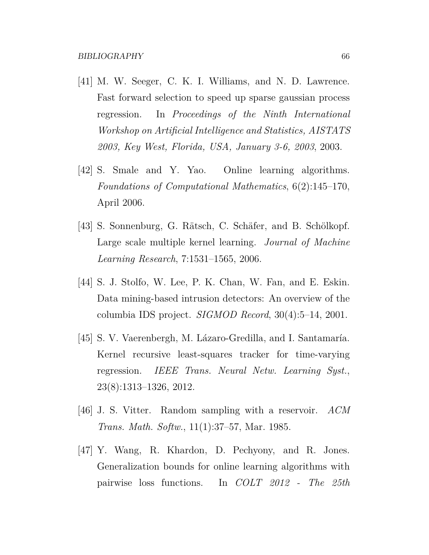- [41] M. W. Seeger, C. K. I. Williams, and N. D. Lawrence. Fast forward selection to speed up sparse gaussian process regression. In *Proceedings of the Ninth International Workshop on Artificial Intelligence and Statistics, AISTATS 2003, Key West, Florida, USA, January 3-6, 2003*, 2003.
- [42] S. Smale and Y. Yao. Online learning algorithms. *Foundations of Computational Mathematics*, 6(2):145–170, April 2006.
- [43] S. Sonnenburg, G. Rätsch, C. Schäfer, and B. Schölkopf. Large scale multiple kernel learning. *Journal of Machine Learning Research*, 7:1531–1565, 2006.
- [44] S. J. Stolfo, W. Lee, P. K. Chan, W. Fan, and E. Eskin. Data mining-based intrusion detectors: An overview of the columbia IDS project. *SIGMOD Record*, 30(4):5–14, 2001.
- [45] S. V. Vaerenbergh, M. Lázaro-Gredilla, and I. Santamaría. Kernel recursive least-squares tracker for time-varying regression. *IEEE Trans. Neural Netw. Learning Syst.*, 23(8):1313–1326, 2012.
- [46] J. S. Vitter. Random sampling with a reservoir. *ACM Trans. Math. Softw.*, 11(1):37–57, Mar. 1985.
- [47] Y. Wang, R. Khardon, D. Pechyony, and R. Jones. Generalization bounds for online learning algorithms with pairwise loss functions. In *COLT 2012 - The 25th*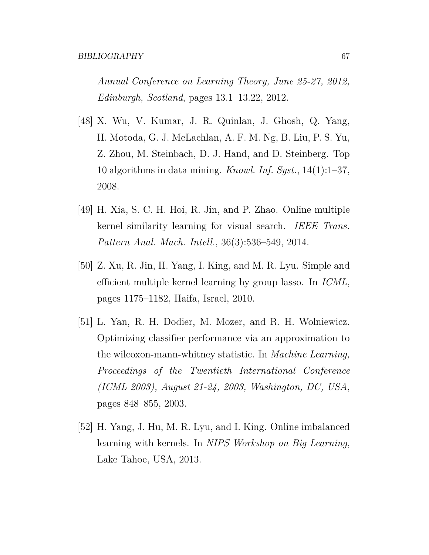*Annual Conference on Learning Theory, June 25-27, 2012, Edinburgh, Scotland*, pages 13.1–13.22, 2012.

- [48] X. Wu, V. Kumar, J. R. Quinlan, J. Ghosh, Q. Yang, H. Motoda, G. J. McLachlan, A. F. M. Ng, B. Liu, P. S. Yu, Z. Zhou, M. Steinbach, D. J. Hand, and D. Steinberg. Top 10 algorithms in data mining. *Knowl. Inf. Syst.*, 14(1):1–37, 2008.
- [49] H. Xia, S. C. H. Hoi, R. Jin, and P. Zhao. Online multiple kernel similarity learning for visual search. *IEEE Trans. Pattern Anal. Mach. Intell.*, 36(3):536–549, 2014.
- [50] Z. Xu, R. Jin, H. Yang, I. King, and M. R. Lyu. Simple and efficient multiple kernel learning by group lasso. In *ICML*, pages 1175–1182, Haifa, Israel, 2010.
- [51] L. Yan, R. H. Dodier, M. Mozer, and R. H. Wolniewicz. Optimizing classifier performance via an approximation to the wilcoxon-mann-whitney statistic. In *Machine Learning, Proceedings of the Twentieth International Conference (ICML 2003), August 21-24, 2003, Washington, DC, USA*, pages 848–855, 2003.
- [52] H. Yang, J. Hu, M. R. Lyu, and I. King. Online imbalanced learning with kernels. In *NIPS Workshop on Big Learning*, Lake Tahoe, USA, 2013.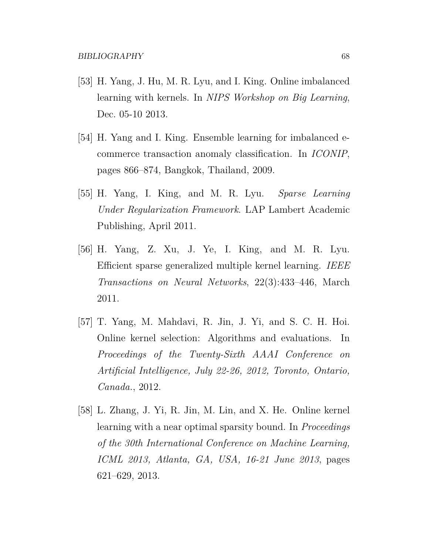- [53] H. Yang, J. Hu, M. R. Lyu, and I. King. Online imbalanced learning with kernels. In *NIPS Workshop on Big Learning*, Dec. 05-10 2013.
- [54] H. Yang and I. King. Ensemble learning for imbalanced ecommerce transaction anomaly classification. In *ICONIP*, pages 866–874, Bangkok, Thailand, 2009.
- [55] H. Yang, I. King, and M. R. Lyu. *Sparse Learning Under Regularization Framework*. LAP Lambert Academic Publishing, April 2011.
- [56] H. Yang, Z. Xu, J. Ye, I. King, and M. R. Lyu. Efficient sparse generalized multiple kernel learning. *IEEE Transactions on Neural Networks*, 22(3):433–446, March 2011.
- [57] T. Yang, M. Mahdavi, R. Jin, J. Yi, and S. C. H. Hoi. Online kernel selection: Algorithms and evaluations. In *Proceedings of the Twenty-Sixth AAAI Conference on Artificial Intelligence, July 22-26, 2012, Toronto, Ontario, Canada.*, 2012.
- [58] L. Zhang, J. Yi, R. Jin, M. Lin, and X. He. Online kernel learning with a near optimal sparsity bound. In *Proceedings of the 30th International Conference on Machine Learning, ICML 2013, Atlanta, GA, USA, 16-21 June 2013*, pages 621–629, 2013.